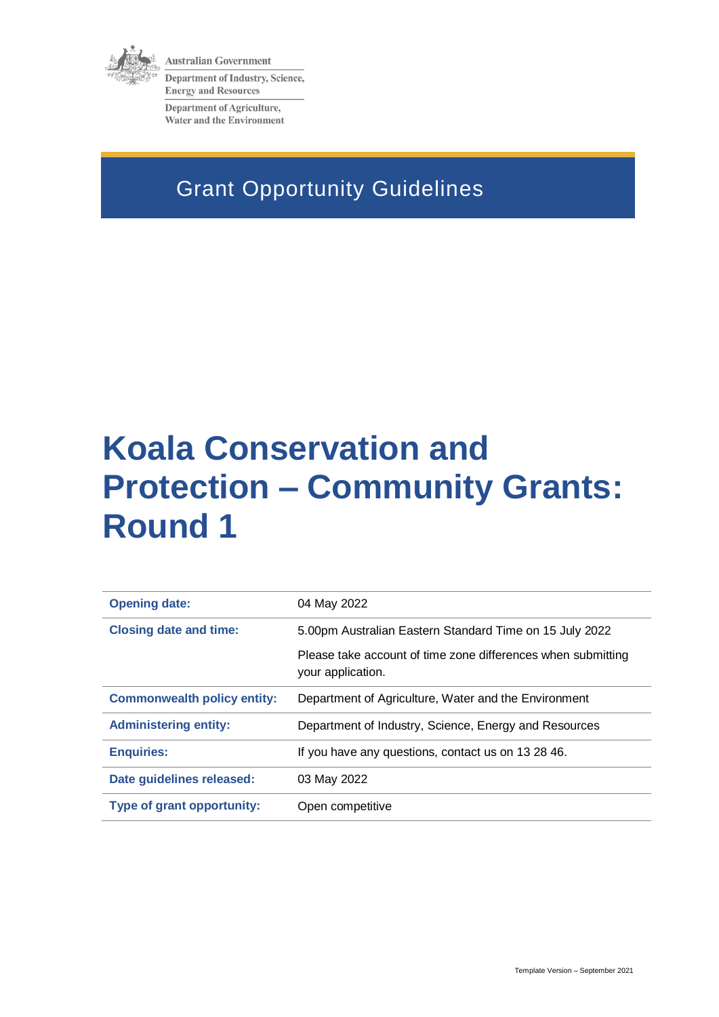

**Australian Government** Department of Industry, Science, **Energy and Resources** 

Department of Agriculture, Water and the Environment

# Grant Opportunity Guidelines

# **Koala Conservation and Protection – Community Grants: Round 1**

| <b>Opening date:</b>               | 04 May 2022                                                                       |
|------------------------------------|-----------------------------------------------------------------------------------|
| <b>Closing date and time:</b>      | 5.00pm Australian Eastern Standard Time on 15 July 2022                           |
|                                    | Please take account of time zone differences when submitting<br>your application. |
| <b>Commonwealth policy entity:</b> | Department of Agriculture, Water and the Environment                              |
| <b>Administering entity:</b>       | Department of Industry, Science, Energy and Resources                             |
| <b>Enquiries:</b>                  | If you have any questions, contact us on 13 28 46.                                |
| Date guidelines released:          | 03 May 2022                                                                       |
| <b>Type of grant opportunity:</b>  | Open competitive                                                                  |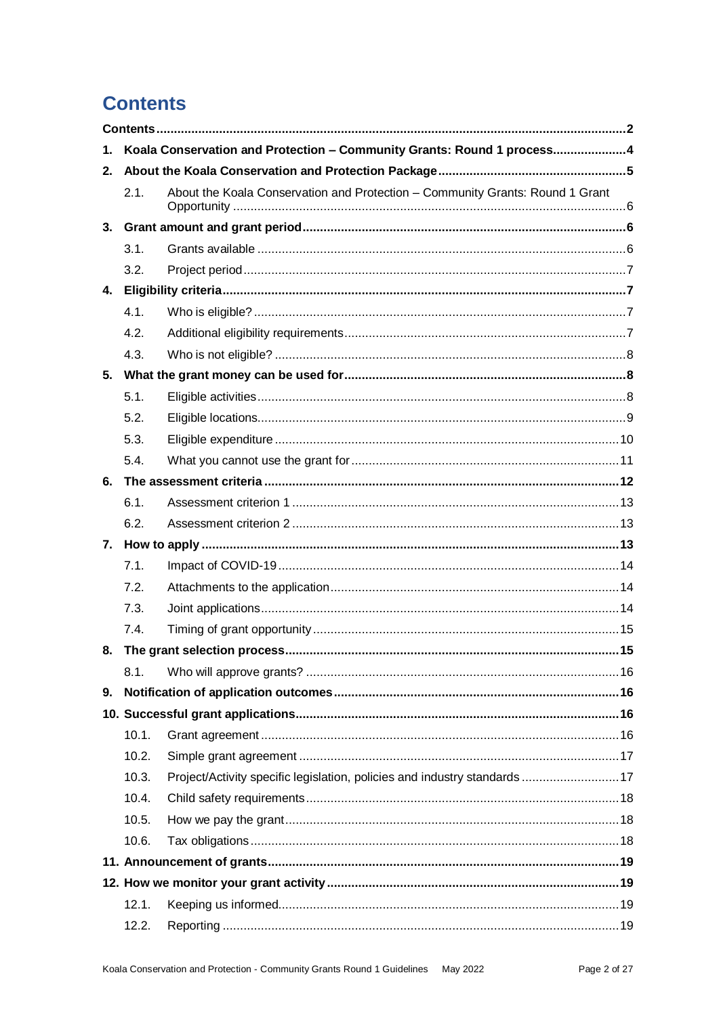# **Contents**

| 1. |       | Koala Conservation and Protection - Community Grants: Round 1 process4        |  |
|----|-------|-------------------------------------------------------------------------------|--|
| 2. |       |                                                                               |  |
|    | 2.1.  | About the Koala Conservation and Protection - Community Grants: Round 1 Grant |  |
| 3. |       |                                                                               |  |
|    | 3.1.  |                                                                               |  |
|    | 3.2.  |                                                                               |  |
| 4. |       |                                                                               |  |
|    | 4.1.  |                                                                               |  |
|    | 4.2.  |                                                                               |  |
|    | 4.3.  |                                                                               |  |
|    |       |                                                                               |  |
|    | 5.1.  |                                                                               |  |
|    | 5.2.  |                                                                               |  |
|    | 5.3.  |                                                                               |  |
|    | 5.4.  |                                                                               |  |
|    |       |                                                                               |  |
|    | 6.1.  |                                                                               |  |
|    | 6.2.  |                                                                               |  |
|    |       |                                                                               |  |
|    | 7.1.  |                                                                               |  |
|    | 7.2.  |                                                                               |  |
|    | 7.3.  |                                                                               |  |
|    | 7.4.  |                                                                               |  |
| 8. |       |                                                                               |  |
|    | 8.1.  |                                                                               |  |
| 9. |       |                                                                               |  |
|    |       |                                                                               |  |
|    | 10.1. |                                                                               |  |
|    | 10.2. |                                                                               |  |
|    | 10.3. | Project/Activity specific legislation, policies and industry standards 17     |  |
|    | 10.4. |                                                                               |  |
|    | 10.5. |                                                                               |  |
|    | 10.6. |                                                                               |  |
|    |       |                                                                               |  |
|    |       |                                                                               |  |
|    | 12.1. |                                                                               |  |
|    | 12.2. |                                                                               |  |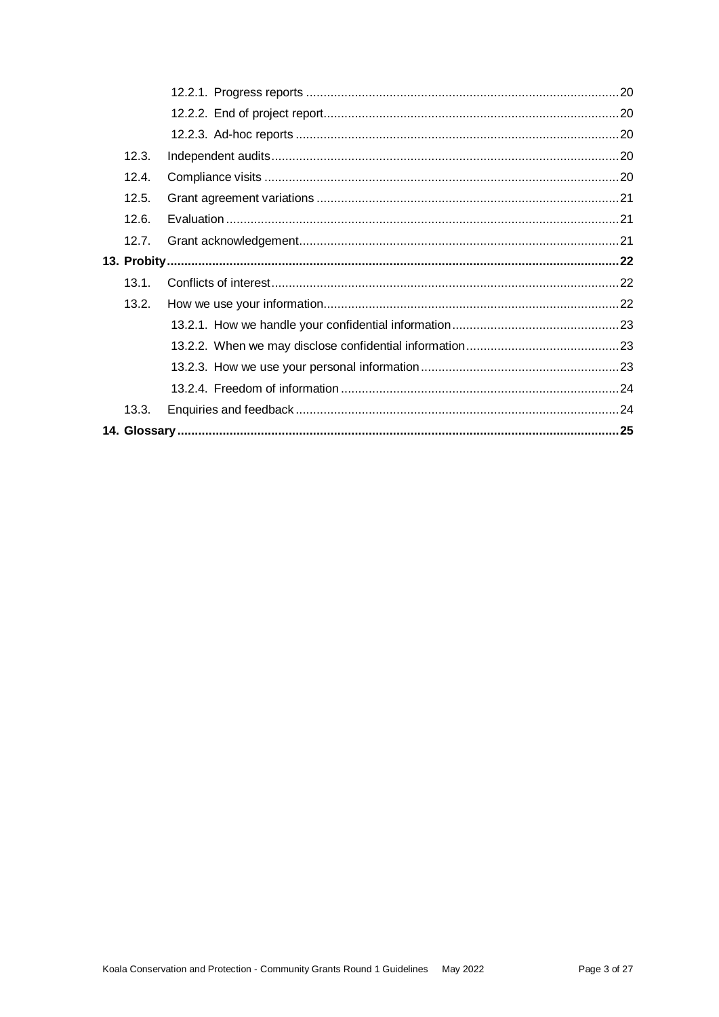| 12.3. |  |
|-------|--|
| 12.4. |  |
| 12.5. |  |
| 12.6. |  |
| 12.7. |  |
|       |  |
| 13.1. |  |
| 13.2. |  |
|       |  |
|       |  |
|       |  |
|       |  |
| 13.3. |  |
|       |  |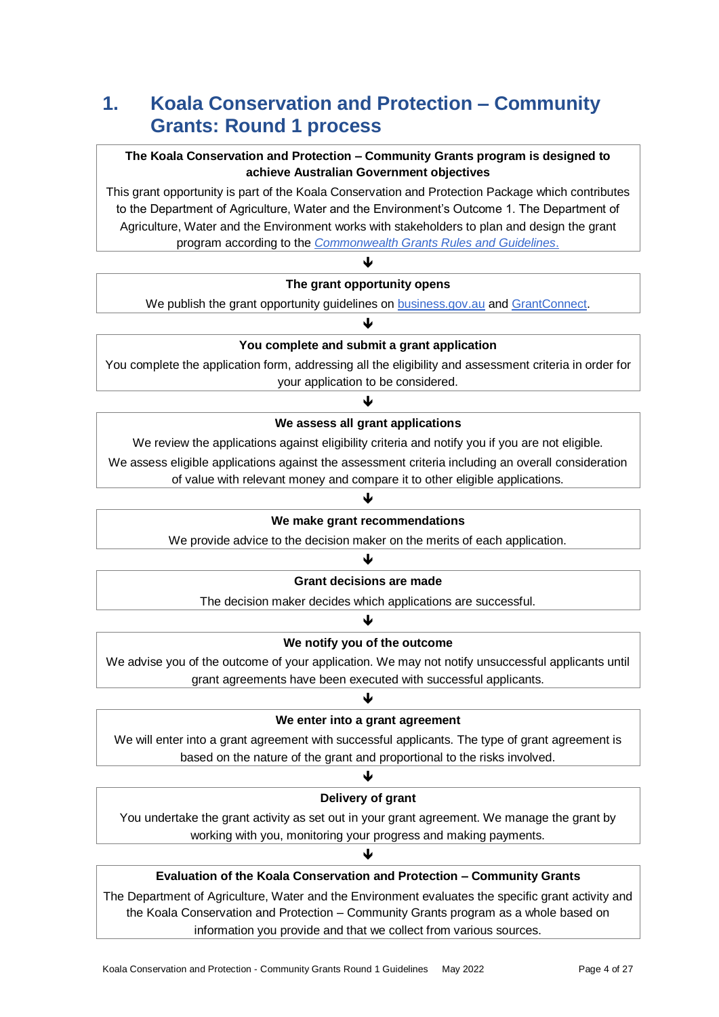# **1. Koala Conservation and Protection – Community Grants: Round 1 process**

### **The Koala Conservation and Protection – Community Grants program is designed to achieve Australian Government objectives**

This grant opportunity is part of the Koala Conservation and Protection Package which contributes to the Department of Agriculture, Water and the Environment's Outcome 1. The Department of Agriculture, Water and the Environment works with stakeholders to plan and design the grant program according to the *[Commonwealth Grants Rules and Guidelines](https://www.finance.gov.au/government/commonwealth-grants/commonwealth-grants-rules-guidelines)*.

# ♦ **The grant opportunity opens**

We publish the grant opportunity guidelines on **business.gov.au** and **GrantConnect**. J

### **You complete and submit a grant application**

You complete the application form, addressing all the eligibility and assessment criteria in order for your application to be considered.

# J **We assess all grant applications**

We review the applications against eligibility criteria and notify you if you are not eligible.

We assess eligible applications against the assessment criteria including an overall consideration

#### of value with relevant money and compare it to other eligible applications. J

#### **We make grant recommendations**

We provide advice to the decision maker on the merits of each application.

#### ♦

#### **Grant decisions are made**

The decision maker decides which applications are successful. J

### **We notify you of the outcome**

We advise you of the outcome of your application. We may not notify unsuccessful applicants until grant agreements have been executed with successful applicants.

# J **We enter into a grant agreement**

We will enter into a grant agreement with successful applicants. The type of grant agreement is based on the nature of the grant and proportional to the risks involved.

#### ↓

### **Delivery of grant**

You undertake the grant activity as set out in your grant agreement. We manage the grant by working with you, monitoring your progress and making payments.

J

# **Evaluation of the Koala Conservation and Protection – Community Grants**

The Department of Agriculture, Water and the Environment evaluates the specific grant activity and the Koala Conservation and Protection – Community Grants program as a whole based on information you provide and that we collect from various sources.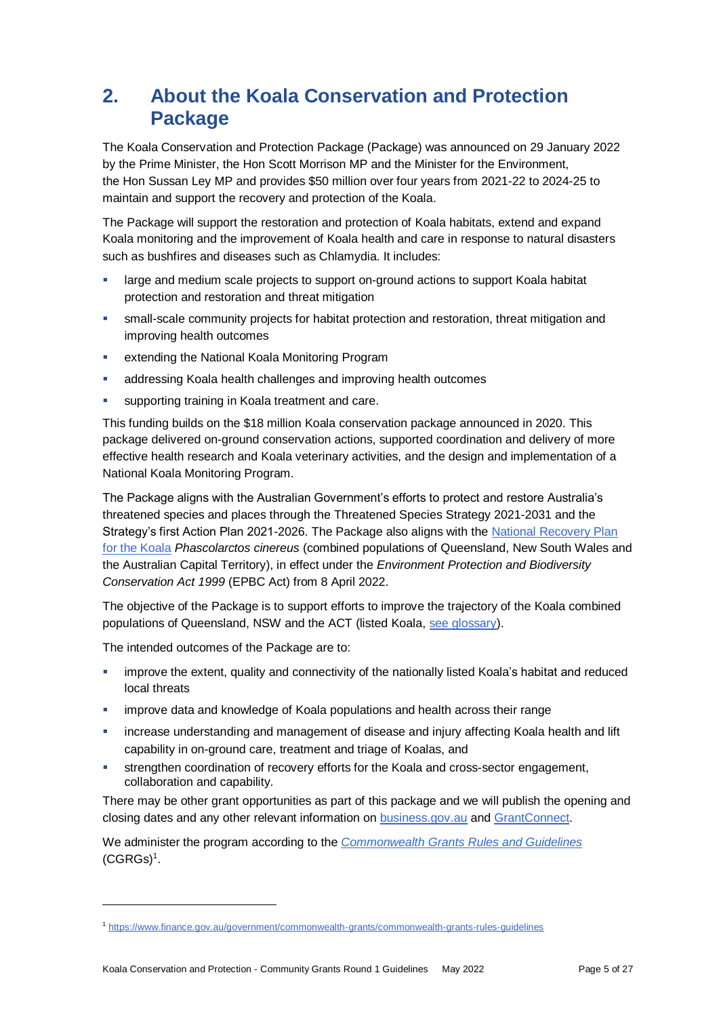# **2. About the Koala Conservation and Protection Package**

The Koala Conservation and Protection Package (Package) was announced on 29 January 2022 by the Prime Minister, the Hon Scott Morrison MP and the Minister for the Environment, the Hon Sussan Ley MP and provides \$50 million over four years from 2021-22 to 2024-25 to maintain and support the recovery and protection of the Koala.

The Package will support the restoration and protection of Koala habitats, extend and expand Koala monitoring and the improvement of Koala health and care in response to natural disasters such as bushfires and diseases such as Chlamydia. It includes:

- large and medium scale projects to support on-ground actions to support Koala habitat protection and restoration and threat mitigation
- small-scale community projects for habitat protection and restoration, threat mitigation and improving health outcomes
- **EXTERGHIST EXTENDING IN A LOCAL EXTENDING IN A LOCAL EXTENDING IN A LOCAL EXTENDING IN A LOCAL EXTENDING I**
- addressing Koala health challenges and improving health outcomes
- supporting training in Koala treatment and care.

This funding builds on the \$18 million Koala conservation package announced in 2020. This package delivered on-ground conservation actions, supported coordination and delivery of more effective health research and Koala veterinary activities, and the design and implementation of a National Koala Monitoring Program.

The Package aligns with the Australian Government's efforts to protect and restore Australia's threatened species and places through the Threatened Species Strategy 2021-2031 and the Strategy's first Action Plan 2021-2026. The Package also aligns with the [National Recovery Plan](https://www.awe.gov.au/environment/biodiversity/threatened/publications/recovery/koala-2022)  [for the Koala](https://www.awe.gov.au/environment/biodiversity/threatened/publications/recovery/koala-2022) *Phascolarctos cinereus* (combined populations of Queensland, New South Wales and the Australian Capital Territory), in effect under the *Environment Protection and Biodiversity Conservation Act 1999* (EPBC Act) from 8 April 2022.

The objective of the Package is to support efforts to improve the trajectory of the Koala combined populations of Queensland, NSW and the ACT (listed Koala, [see glossary\)](#page-24-0).

The intended outcomes of the Package are to:

l

- improve the extent, quality and connectivity of the nationally listed Koala's habitat and reduced local threats
- improve data and knowledge of Koala populations and health across their range
- increase understanding and management of disease and injury affecting Koala health and lift capability in on-ground care, treatment and triage of Koalas, and
- strengthen coordination of recovery efforts for the Koala and cross-sector engagement, collaboration and capability.

There may be other grant opportunities as part of this package and we will publish the opening and closing dates and any other relevant information o[n business.gov.au](https://business.gov.au/grants-and-programs/koala-conservation-and-protection-community-grants-round-1#key-documents) and [GrantConnect.](https://www.grants.gov.au/)

We administer the program according to the *[Commonwealth Grants Rules and Guidelines](https://www.finance.gov.au/government/commonwealth-grants/commonwealth-grants-rules-guidelines)*  $(CGRGs)^1$  $(CGRGs)^1$ .

<sup>1</sup> <https://www.finance.gov.au/government/commonwealth-grants/commonwealth-grants-rules-guidelines>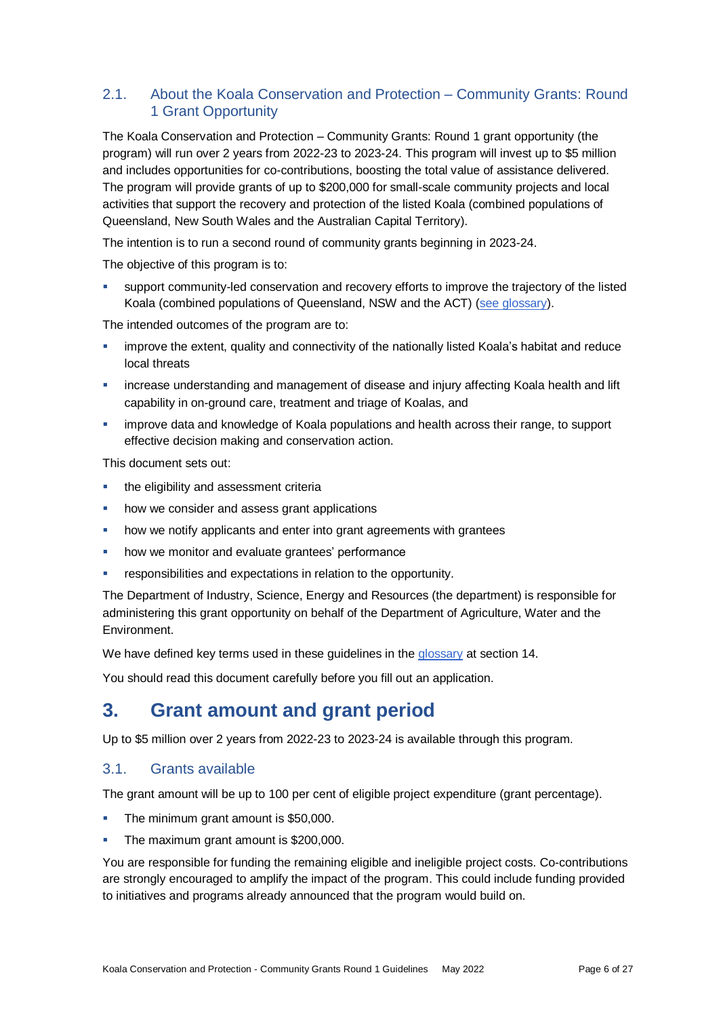# 2.1. About the Koala Conservation and Protection – Community Grants: Round 1 Grant Opportunity

The Koala Conservation and Protection – Community Grants: Round 1 grant opportunity (the program) will run over 2 years from 2022-23 to 2023-24. This program will invest up to \$5 million and includes opportunities for co-contributions, boosting the total value of assistance delivered. The program will provide grants of up to \$200,000 for small-scale community projects and local activities that support the recovery and protection of the listed Koala (combined populations of Queensland, New South Wales and the Australian Capital Territory).

The intention is to run a second round of community grants beginning in 2023-24.

The objective of this program is to:

 support community-led conservation and recovery efforts to improve the trajectory of the listed Koala (combined populations of Queensland, NSW and the ACT) [\(see glossary\)](#page-24-0).

The intended outcomes of the program are to:

- improve the extent, quality and connectivity of the nationally listed Koala's habitat and reduce local threats
- increase understanding and management of disease and injury affecting Koala health and lift capability in on-ground care, treatment and triage of Koalas, and
- improve data and knowledge of Koala populations and health across their range, to support effective decision making and conservation action.

This document sets out:

- **the eligibility and assessment criterially**
- how we consider and assess grant applications
- how we notify applicants and enter into grant agreements with grantees
- how we monitor and evaluate grantees' performance
- **F** responsibilities and expectations in relation to the opportunity.

The Department of Industry, Science, Energy and Resources (the department) is responsible for administering this grant opportunity on behalf of the Department of Agriculture, Water and the Environment.

We have defined key terms used in these guidelines in the [glossary](#page-24-0) at section [14.](#page-24-0)

You should read this document carefully before you fill out an application.

# **3. Grant amount and grant period**

Up to \$5 million over 2 years from 2022-23 to 2023-24 is available through this program.

# 3.1. Grants available

The grant amount will be up to 100 per cent of eligible project expenditure (grant percentage).

- **The minimum grant amount is \$50,000.**
- The maximum grant amount is \$200,000.

You are responsible for funding the remaining eligible and ineligible project costs. Co-contributions are strongly encouraged to amplify the impact of the program. This could include funding provided to initiatives and programs already announced that the program would build on.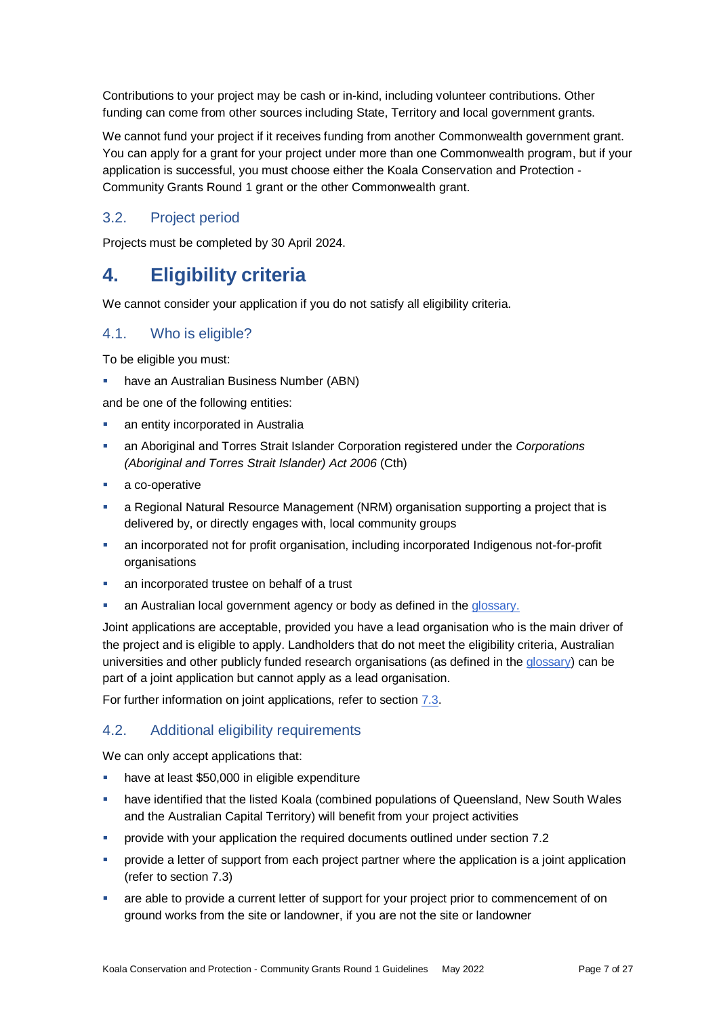Contributions to your project may be cash or in-kind, including volunteer contributions. Other funding can come from other sources including State, Territory and local government grants.

We cannot fund your project if it receives funding from another Commonwealth government grant. You can apply for a grant for your project under more than one Commonwealth program, but if your application is successful, you must choose either the Koala Conservation and Protection - Community Grants Round 1 grant or the other Commonwealth grant.

### 3.2. Project period

Projects must be completed by 30 April 2024.

# **4. Eligibility criteria**

We cannot consider your application if you do not satisfy all eligibility criteria.

### <span id="page-6-0"></span>4.1. Who is eligible?

To be eligible you must:

have an Australian Business Number (ABN)

and be one of the following entities:

- an entity incorporated in Australia
- an Aboriginal and Torres Strait Islander Corporation registered under the *Corporations (Aboriginal and Torres Strait Islander) Act 2006* (Cth)
- a co-operative
- a Regional Natural Resource Management (NRM) organisation supporting a project that is delivered by, or directly engages with, local community groups
- an incorporated not for profit organisation, including incorporated Indigenous not-for-profit organisations
- an incorporated trustee on behalf of a trust
- an Australian local government agency or body as defined in th[e glossary.](#page-24-0)

Joint applications are acceptable, provided you have a lead organisation who is the main driver of the project and is eligible to apply. Landholders that do not meet the eligibility criteria, Australian universities and other publicly funded research organisations (as defined in the [glossary\)](#page-24-0) can be part of a joint application but cannot apply as a lead organisation.

For further information on joint applications, refer to section [7.3.](#page-13-0)

### 4.2. Additional eligibility requirements

We can only accept applications that:

- have at least \$50,000 in eligible expenditure
- **•** have identified that the listed Koala (combined populations of Queensland, New South Wales and the Australian Capital Territory) will benefit from your project activities
- provide with your application the required documents outlined under section 7.2
- provide a letter of support from each project partner where the application is a joint application (refer to section 7.3)
- are able to provide a current letter of support for your project prior to commencement of on ground works from the site or landowner, if you are not the site or landowner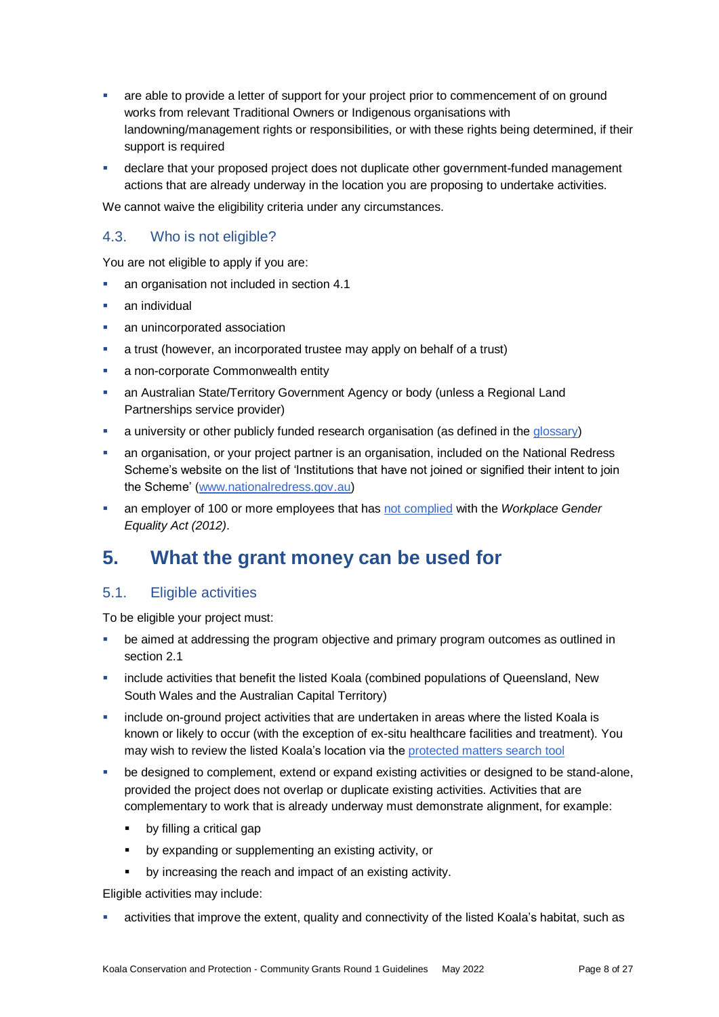- are able to provide a letter of support for your project prior to commencement of on ground works from relevant Traditional Owners or Indigenous organisations with landowning/management rights or responsibilities, or with these rights being determined, if their support is required
- declare that your proposed project does not duplicate other government-funded management actions that are already underway in the location you are proposing to undertake activities.

We cannot waive the eligibility criteria under any circumstances.

# 4.3. Who is not eligible?

You are not eligible to apply if you are:

- an organisation not included in section [4.1](#page-6-0)
- an individual
- an unincorporated association
- a trust (however, an incorporated trustee may apply on behalf of a trust)
- a non-corporate Commonwealth entity
- an Australian State/Territory Government Agency or body (unless a Regional Land Partnerships service provider)
- a university or other publicly funded research organisation (as defined in the [glossary\)](#page-24-0)
- an organisation, or your project partner is an organisation, included on the National Redress Scheme's website on the list of 'Institutions that have not joined or signified their intent to join the Scheme' [\(www.nationalredress.gov.au\)](http://www.nationalredress.gov.au/)
- an employer of 100 or more employees that has [not complied](https://www.wgea.gov.au/what-we-do/compliance-reporting/non-compliant-list) with the *Workplace Gender Equality Act (2012)*.

# <span id="page-7-0"></span>**5. What the grant money can be used for**

### 5.1. Eligible activities

To be eligible your project must:

- be aimed at addressing the program objective and primary program outcomes as outlined in section 2.1
- include activities that benefit the listed Koala (combined populations of Queensland, New South Wales and the Australian Capital Territory)
- include on-ground project activities that are undertaken in areas where the listed Koala is known or likely to occur (with the exception of ex-situ healthcare facilities and treatment). You may wish to review the listed Koala's location via the [protected matters search tool](https://www.awe.gov.au/environment/epbc/protected-matters-search-tool)
- be designed to complement, extend or expand existing activities or designed to be stand-alone, provided the project does not overlap or duplicate existing activities. Activities that are complementary to work that is already underway must demonstrate alignment, for example:
	- by filling a critical gap
	- by expanding or supplementing an existing activity, or
	- by increasing the reach and impact of an existing activity.

Eligible activities may include:

activities that improve the extent, quality and connectivity of the listed Koala's habitat, such as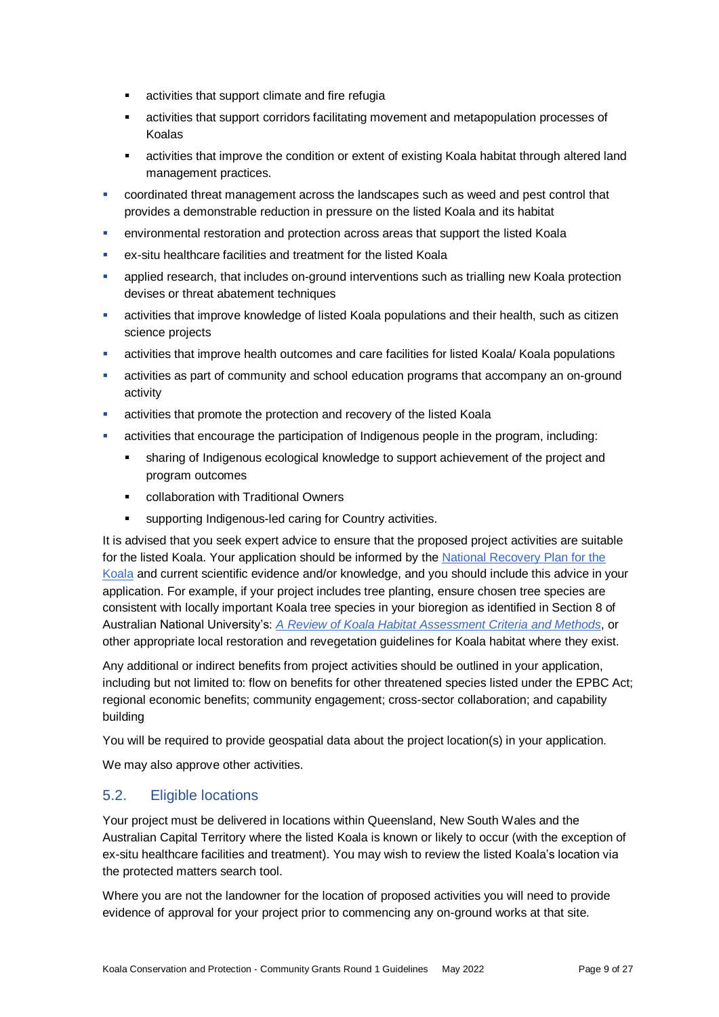- **EXEC** activities that support climate and fire refugia
- activities that support corridors facilitating movement and metapopulation processes of Koalas
- activities that improve the condition or extent of existing Koala habitat through altered land management practices.
- coordinated threat management across the landscapes such as weed and pest control that provides a demonstrable reduction in pressure on the listed Koala and its habitat
- environmental restoration and protection across areas that support the listed Koala
- ex-situ healthcare facilities and treatment for the listed Koala
- applied research, that includes on-ground interventions such as trialling new Koala protection devises or threat abatement techniques
- activities that improve knowledge of listed Koala populations and their health, such as citizen science projects
- activities that improve health outcomes and care facilities for listed Koala/ Koala populations
- activities as part of community and school education programs that accompany an on-ground activity
- activities that promote the protection and recovery of the listed Koala
- activities that encourage the participation of Indigenous people in the program, including:
	- sharing of Indigenous ecological knowledge to support achievement of the project and program outcomes
	- **EXECOLLADORATION With Traditional Owners**
	- supporting Indigenous-led caring for Country activities.

It is advised that you seek expert advice to ensure that the proposed project activities are suitable for the listed Koala. Your application should be informed by the [National Recovery Plan for](https://www.awe.gov.au/environment/biodiversity/threatened/publications/recovery/koala-2022) the [Koala](https://www.awe.gov.au/environment/biodiversity/threatened/publications/recovery/koala-2022) and current scientific evidence and/or knowledge, and you should include this advice in your application. For example, if your project includes tree planting, ensure chosen tree species are consistent with locally important Koala tree species in your bioregion as identified in Section 8 of Australian National University's: *[A Review of Koala Habitat Assessment Criteria](https://www.awe.gov.au/sites/default/files/documents/review-koala-habitat-assessment-criteria-and-methods-2021.pdf) and Methods*, or other appropriate local restoration and revegetation guidelines for Koala habitat where they exist.

Any additional or indirect benefits from project activities should be outlined in your application, including but not limited to: flow on benefits for other threatened species listed under the EPBC Act; regional economic benefits; community engagement; cross-sector collaboration; and capability building

You will be required to provide geospatial data about the project location(s) in your application.

We may also approve other activities.

### 5.2. Eligible locations

Your project must be delivered in locations within Queensland, New South Wales and the Australian Capital Territory where the listed Koala is known or likely to occur (with the exception of ex-situ healthcare facilities and treatment). You may wish to review the listed Koala's location via the [protected matters search tool.](https://www.environment.gov.au/epbc/protected-matters-search-tool)

Where you are not the landowner for the location of proposed activities you will need to provide evidence of approval for your project prior to commencing any on-ground works at that site.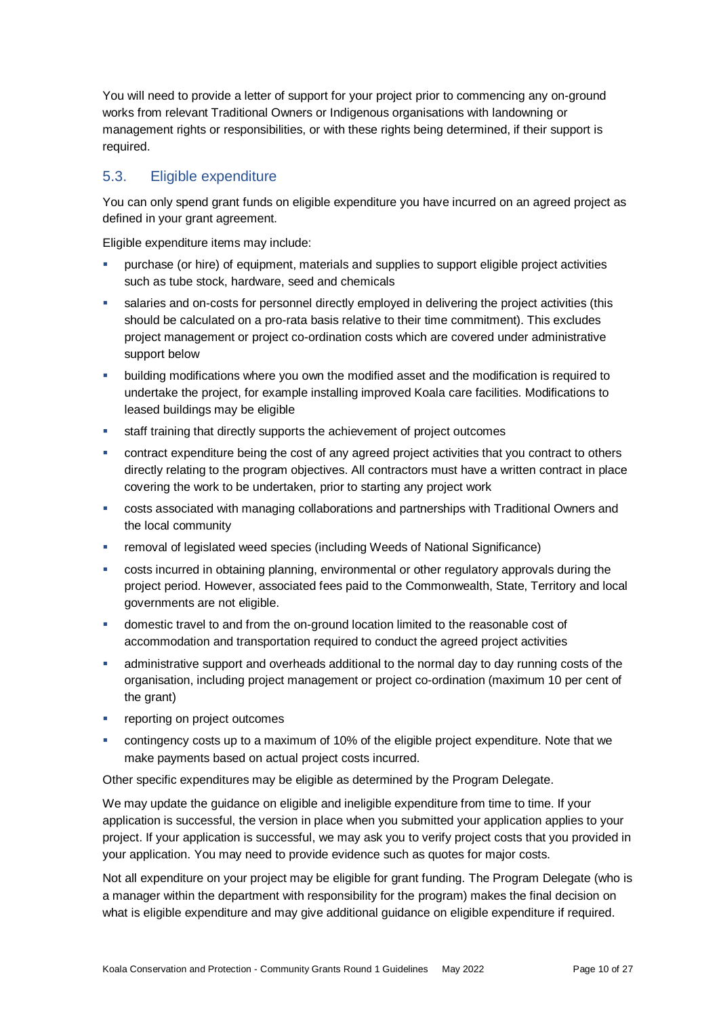You will need to provide a letter of support for your project prior to commencing any on-ground works from relevant Traditional Owners or Indigenous organisations with landowning or management rights or responsibilities, or with these rights being determined, if their support is required.

# <span id="page-9-0"></span>5.3. Eligible expenditure

You can only spend grant funds on eligible expenditure you have incurred on an agreed project as defined in your grant agreement.

Eligible expenditure items may include:

- purchase (or hire) of equipment, materials and supplies to support eligible project activities such as tube stock, hardware, seed and chemicals
- salaries and on-costs for personnel directly employed in delivering the project activities (this should be calculated on a pro-rata basis relative to their time commitment). This excludes project management or project co-ordination costs which are covered under administrative support below
- building modifications where you own the modified asset and the modification is required to undertake the project, for example installing improved Koala care facilities. Modifications to leased buildings may be eligible
- staff training that directly supports the achievement of project outcomes
- contract expenditure being the cost of any agreed project activities that you contract to others directly relating to the program objectives. All contractors must have a written contract in place covering the work to be undertaken, prior to starting any project work
- costs associated with managing collaborations and partnerships with Traditional Owners and the local community
- removal of legislated weed species (including Weeds of National Significance)
- costs incurred in obtaining planning, environmental or other regulatory approvals during the project period. However, associated fees paid to the Commonwealth, State, Territory and local governments are not eligible.
- domestic travel to and from the on-ground location limited to the reasonable cost of accommodation and transportation required to conduct the agreed project activities
- administrative support and overheads additional to the normal day to day running costs of the organisation, including project management or project co-ordination (maximum 10 per cent of the grant)
- reporting on project outcomes
- contingency costs up to a maximum of 10% of the eligible project expenditure. Note that we make payments based on actual project costs incurred.

Other specific expenditures may be eligible as determined by the Program Delegate.

We may update the guidance on eligible and ineligible expenditure from time to time. If your application is successful, the version in place when you submitted your application applies to your project. If your application is successful, we may ask you to verify project costs that you provided in your application. You may need to provide evidence such as quotes for major costs.

Not all expenditure on your project may be eligible for grant funding. The Program Delegate (who is a manager within the department with responsibility for the program) makes the final decision on what is eligible expenditure and may give additional guidance on eligible expenditure if required.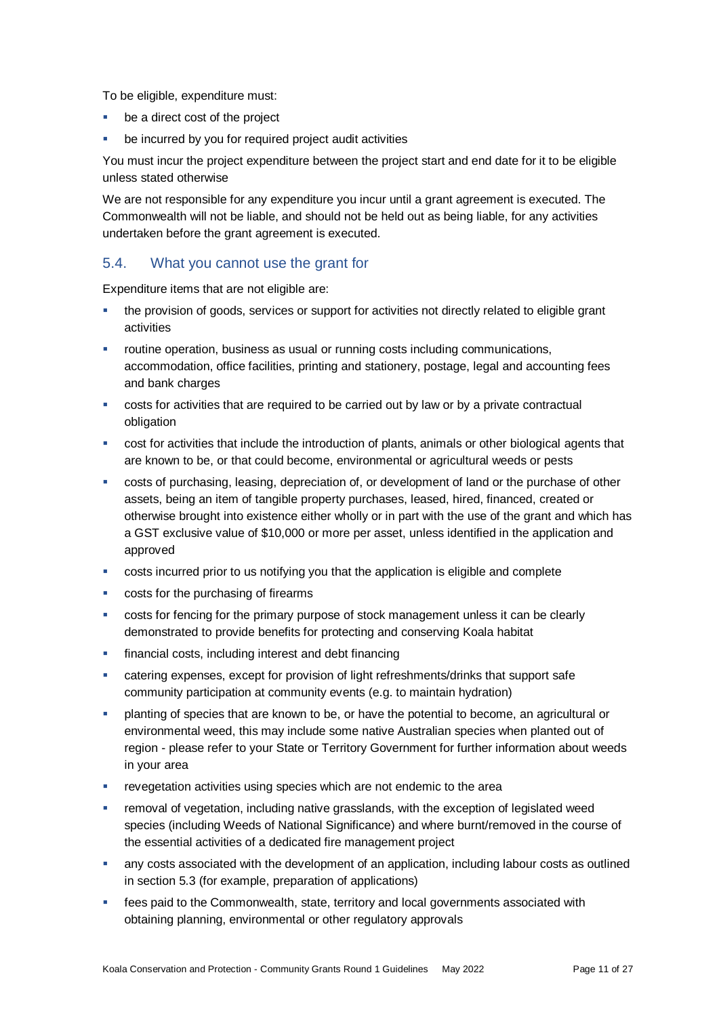To be eligible, expenditure must:

- be a direct cost of the project
- be incurred by you for required project audit activities

You must incur the project expenditure between the project start and end date for it to be eligible unless stated otherwise

We are not responsible for any expenditure you incur until a grant agreement is executed. The Commonwealth will not be liable, and should not be held out as being liable, for any activities undertaken before the grant agreement is executed.

### 5.4. What you cannot use the grant for

Expenditure items that are not eligible are:

- the provision of goods, services or support for activities not directly related to eligible grant activities
- routine operation, business as usual or running costs including communications, accommodation, office facilities, printing and stationery, postage, legal and accounting fees and bank charges
- costs for activities that are required to be carried out by law or by a private contractual obligation
- cost for activities that include the introduction of plants, animals or other biological agents that are known to be, or that could become, environmental or agricultural weeds or pests
- costs of purchasing, leasing, depreciation of, or development of land or the purchase of other assets, being an item of tangible property purchases, leased, hired, financed, created or otherwise brought into existence either wholly or in part with the use of the grant and which has a GST exclusive value of \$10,000 or more per asset, unless identified in the application and approved
- costs incurred prior to us notifying you that the application is eligible and complete
- costs for the purchasing of firearms
- costs for fencing for the primary purpose of stock management unless it can be clearly demonstrated to provide benefits for protecting and conserving Koala habitat
- financial costs, including interest and debt financing
- catering expenses, except for provision of light refreshments/drinks that support safe community participation at community events (e.g. to maintain hydration)
- planting of species that are known to be, or have the potential to become, an agricultural or environmental weed, this may include some native Australian species when planted out of region - please refer to your State or Territory Government for further information about weeds in your area
- revegetation activities using species which are not endemic to the area
- removal of vegetation, including native grasslands, with the exception of legislated weed species (including Weeds of National Significance) and where burnt/removed in the course of the essential activities of a dedicated fire management project
- any costs associated with the development of an application, including labour costs as outlined in section 5.3 (for example, preparation of applications)
- fees paid to the Commonwealth, state, territory and local governments associated with obtaining planning, environmental or other regulatory approvals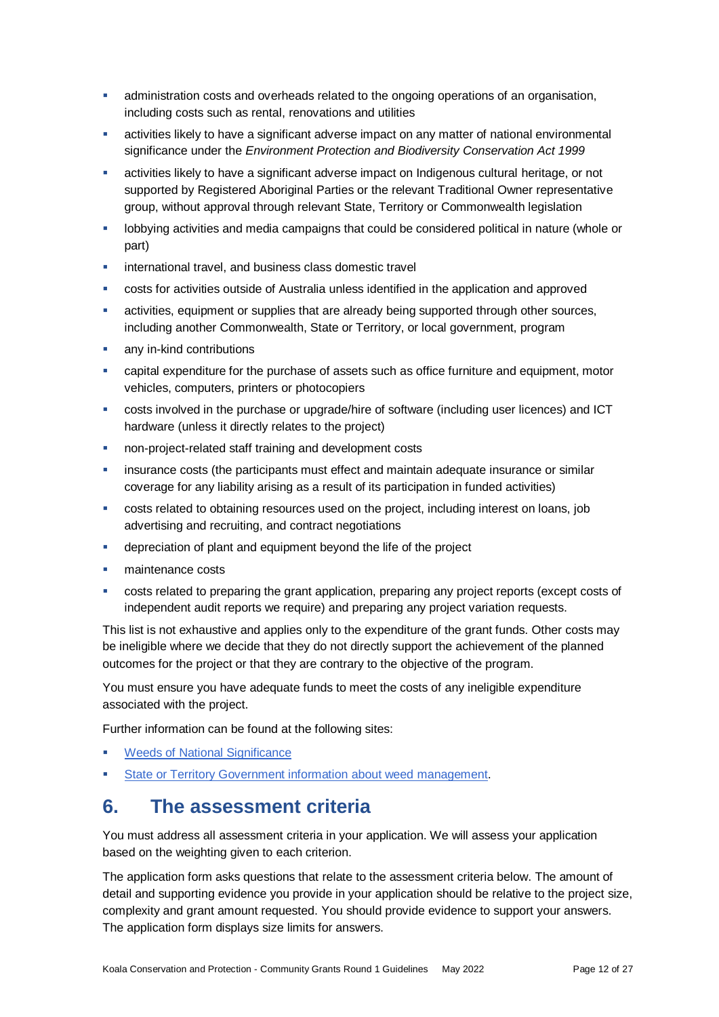- administration costs and overheads related to the ongoing operations of an organisation, including costs such as rental, renovations and utilities
- activities likely to have a significant adverse impact on any matter of national environmental significance under the *Environment Protection and Biodiversity Conservation Act 1999*
- activities likely to have a significant adverse impact on Indigenous cultural heritage, or not supported by Registered Aboriginal Parties or the relevant Traditional Owner representative group, without approval through relevant State, Territory or Commonwealth legislation
- **-** lobbying activities and media campaigns that could be considered political in nature (whole or part)
- international travel, and business class domestic travel
- costs for activities outside of Australia unless identified in the application and approved
- activities, equipment or supplies that are already being supported through other sources, including another Commonwealth, State or Territory, or local government, program
- any in-kind contributions
- capital expenditure for the purchase of assets such as office furniture and equipment, motor vehicles, computers, printers or photocopiers
- costs involved in the purchase or upgrade/hire of software (including user licences) and ICT hardware (unless it directly relates to the project)
- non-project-related staff training and development costs
- insurance costs (the participants must effect and maintain adequate insurance or similar coverage for any liability arising as a result of its participation in funded activities)
- costs related to obtaining resources used on the project, including interest on loans, job advertising and recruiting, and contract negotiations
- depreciation of plant and equipment beyond the life of the project
- maintenance costs
- costs related to preparing the grant application, preparing any project reports (except costs of independent audit reports we require) and preparing any project variation requests.

This list is not exhaustive and applies only to the expenditure of the grant funds. Other costs may be ineligible where we decide that they do not directly support the achievement of the planned outcomes for the project or that they are contrary to the objective of the program.

You must ensure you have adequate funds to meet the costs of any ineligible expenditure associated with the project.

Further information can be found at the following sites:

- [Weeds of National Significance](https://www.environment.gov.au/biodiversity/invasive/weeds/weeds/lists/wons.html)
- [State or Territory Government information about weed management.](https://www.environment.gov.au/biodiversity/invasive/weeds/government/roles/state.html)

# **6. The assessment criteria**

You must address all assessment criteria in your application. We will assess your application based on the weighting given to each criterion.

The application form asks questions that relate to the assessment criteria below. The amount of detail and supporting evidence you provide in your application should be relative to the project size, complexity and grant amount requested. You should provide evidence to support your answers. The application form displays size limits for answers.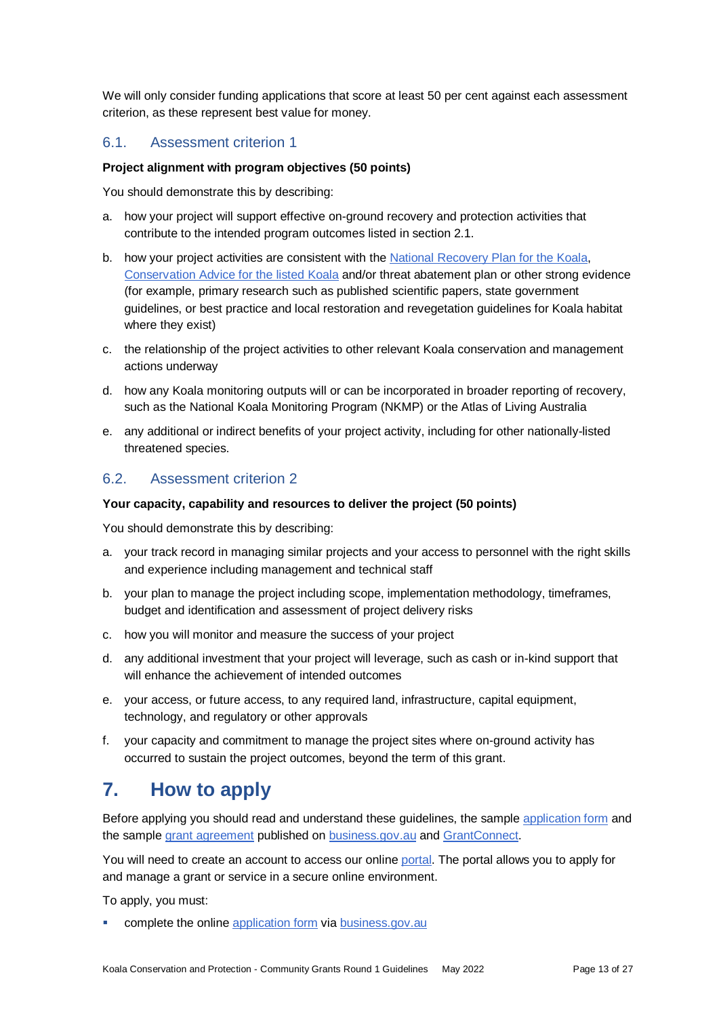We will only consider funding applications that score at least 50 per cent against each assessment criterion, as these represent best value for money.

### 6.1. Assessment criterion 1

#### **Project alignment with program objectives (50 points)**

You should demonstrate this by describing:

- a. how your project will support effective on-ground recovery and protection activities that contribute to the intended program outcomes listed in section 2.1.
- b. how your project activities are consistent with the [National Recovery Plan for the Koala,](https://www.awe.gov.au/environment/biodiversity/threatened/publications/recovery/koala-2022) [Conservation Advice for the listed Koala](http://www.environment.gov.au/biodiversity/threatened/species/pubs/85104-conservation-advice-12022022.pdf) and/or threat abatement plan or other strong evidence (for example, primary research such as published scientific papers, state government guidelines, or best practice and local restoration and revegetation guidelines for Koala habitat where they exist)
- c. the relationship of the project activities to other relevant Koala conservation and management actions underway
- d. how any Koala monitoring outputs will or can be incorporated in broader reporting of recovery, such as the National Koala Monitoring Program (NKMP) or the Atlas of Living Australia
- e. any additional or indirect benefits of your project activity, including for other nationally-listed threatened species.

### 6.2. Assessment criterion 2

#### **Your capacity, capability and resources to deliver the project (50 points)**

You should demonstrate this by describing:

- a. your track record in managing similar projects and your access to personnel with the right skills and experience including management and technical staff
- b. your plan to manage the project including scope, implementation methodology, timeframes, budget and identification and assessment of project delivery risks
- c. how you will monitor and measure the success of your project
- d. any additional investment that your project will leverage, such as cash or in-kind support that will enhance the achievement of intended outcomes
- e. your access, or future access, to any required land, infrastructure, capital equipment, technology, and regulatory or other approvals
- f. your capacity and commitment to manage the project sites where on-ground activity has occurred to sustain the project outcomes, beyond the term of this grant.

# **7. How to apply**

Before applying you should read and understand these guidelines, the sample [application form](https://business.gov.au/grants-and-programs/koala-conservation-and-protection-community-grants-round-1#key-documents) and the sampl[e grant agreement](https://business.gov.au/grants-and-programs/koala-conservation-and-protection-community-grants-round-1#key-documents) published on [business.gov.au](https://business.gov.au/grants-and-programs/koala-conservation-and-protection-community-grants-round-1#key-documents) and [GrantConnect.](https://www.grants.gov.au/)

You will need to create an account to access our online [portal.](https://portal.business.gov.au/) The portal allows you to apply for and manage a grant or service in a secure online environment.

To apply, you must:

complete the online [application form](https://business.gov.au/grants-and-programs/koala-conservation-and-protection-community-grants-round-1#key-documents) vi[a business.gov.au](https://business.gov.au/grants-and-programs/koala-conservation-and-protection-community-grants-round-1#key-documents)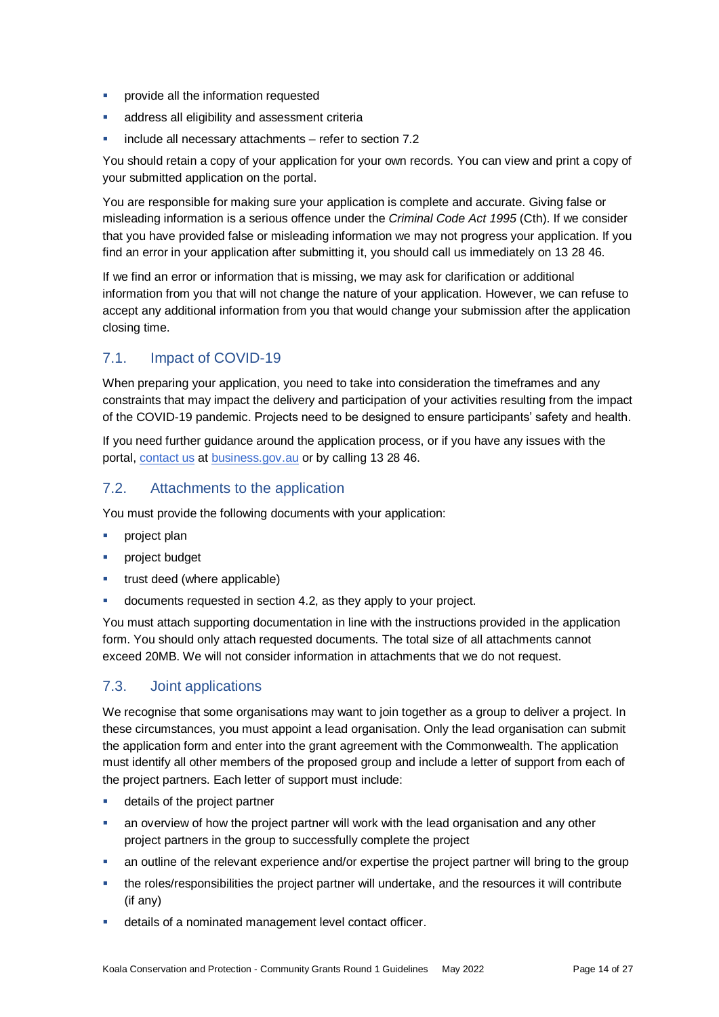- **•** provide all the information requested
- **address all eligibility and assessment criterially**
- include all necessary attachments refer to section 7.2

You should retain a copy of your application for your own records. You can view and print a copy of your submitted application on the portal.

You are responsible for making sure your application is complete and accurate. Giving false or misleading information is a serious offence under the *Criminal Code Act 1995* (Cth). If we consider that you have provided false or misleading information we may not progress your application. If you find an error in your application after submitting it, you should call us immediately on 13 28 46.

If we find an error or information that is missing, we may ask for clarification or additional information from you that will not change the nature of your application. However, we can refuse to accept any additional information from you that would change your submission after the application closing time.

# 7.1. Impact of COVID-19

When preparing your application, you need to take into consideration the timeframes and any constraints that may impact the delivery and participation of your activities resulting from the impact of the COVID-19 pandemic. Projects need to be designed to ensure participants' safety and health.

If you need further guidance around the application process, or if you have any issues with the portal, [contact us](https://www.business.gov.au/contact-us) at [business.gov.au](https://business.gov.au/grants-and-programs/koala-conservation-and-protection-community-grants-round-1#key-documents) or by calling 13 28 46.

### 7.2. Attachments to the application

You must provide the following documents with your application:

- project plan
- project budget
- trust deed (where applicable)
- documents requested in section 4.2, as they apply to your project.

You must attach supporting documentation in line with the instructions provided in the application form. You should only attach requested documents. The total size of all attachments cannot exceed 20MB. We will not consider information in attachments that we do not request.

# <span id="page-13-0"></span>7.3. Joint applications

We recognise that some organisations may want to join together as a group to deliver a project. In these circumstances, you must appoint a lead organisation. Only the lead organisation can submit the application form and enter into the grant agreement with the Commonwealth. The application must identify all other members of the proposed group and include a letter of support from each of the project partners. Each letter of support must include:

- **details of the project partner**
- an overview of how the project partner will work with the lead organisation and any other project partners in the group to successfully complete the project
- an outline of the relevant experience and/or expertise the project partner will bring to the group
- the roles/responsibilities the project partner will undertake, and the resources it will contribute (if any)
- details of a nominated management level contact officer.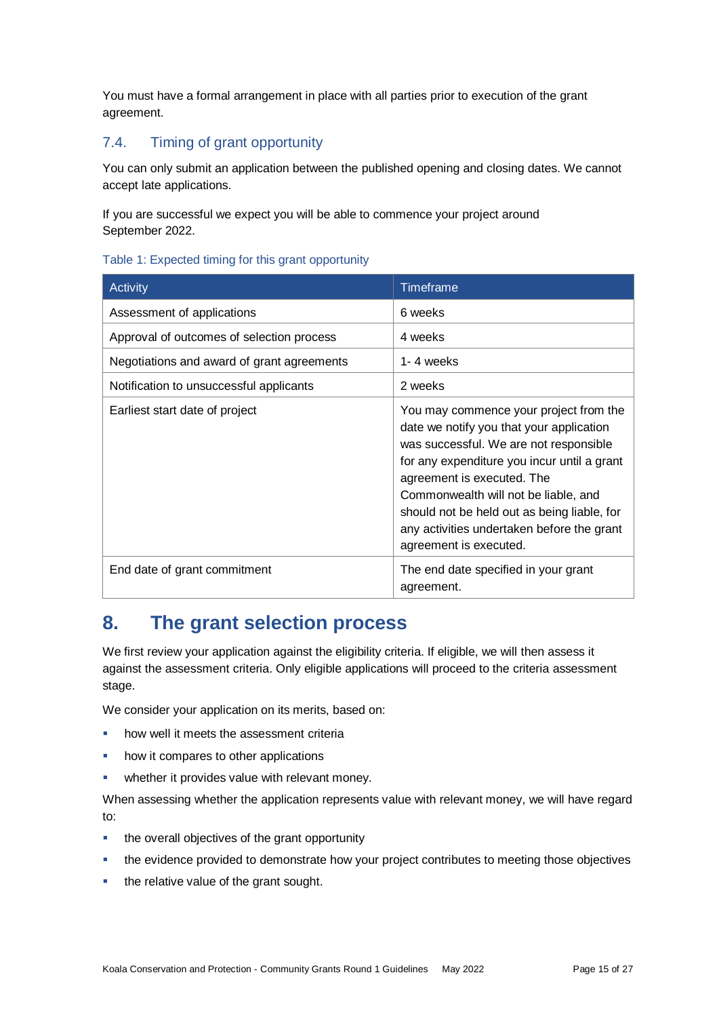You must have a formal arrangement in place with all parties prior to execution of the grant agreement.

# 7.4. Timing of grant opportunity

You can only submit an application between the published opening and closing dates. We cannot accept late applications.

If you are successful we expect you will be able to commence your project around September 2022.

#### Table 1: Expected timing for this grant opportunity

| Activity                                   | Timeframe                                                                                                                                                                                                                                                                                                                                                                |
|--------------------------------------------|--------------------------------------------------------------------------------------------------------------------------------------------------------------------------------------------------------------------------------------------------------------------------------------------------------------------------------------------------------------------------|
| Assessment of applications                 | 6 weeks                                                                                                                                                                                                                                                                                                                                                                  |
| Approval of outcomes of selection process  | 4 weeks                                                                                                                                                                                                                                                                                                                                                                  |
| Negotiations and award of grant agreements | 1-4 weeks                                                                                                                                                                                                                                                                                                                                                                |
| Notification to unsuccessful applicants    | 2 weeks                                                                                                                                                                                                                                                                                                                                                                  |
| Earliest start date of project             | You may commence your project from the<br>date we notify you that your application<br>was successful. We are not responsible<br>for any expenditure you incur until a grant<br>agreement is executed. The<br>Commonwealth will not be liable, and<br>should not be held out as being liable, for<br>any activities undertaken before the grant<br>agreement is executed. |
| End date of grant commitment               | The end date specified in your grant<br>agreement.                                                                                                                                                                                                                                                                                                                       |

# **8. The grant selection process**

We first review your application against the eligibility criteria. If eligible, we will then assess it against the assessment criteria. Only eligible applications will proceed to the criteria assessment stage.

We consider your application on its merits, based on:

- how well it meets the assessment criteria
- how it compares to other applications
- **•** whether it provides value with relevant money.

When assessing whether the application represents value with relevant money, we will have regard to:

- the overall objectives of the grant opportunity
- the evidence provided to demonstrate how your project contributes to meeting those objectives
- the relative value of the grant sought.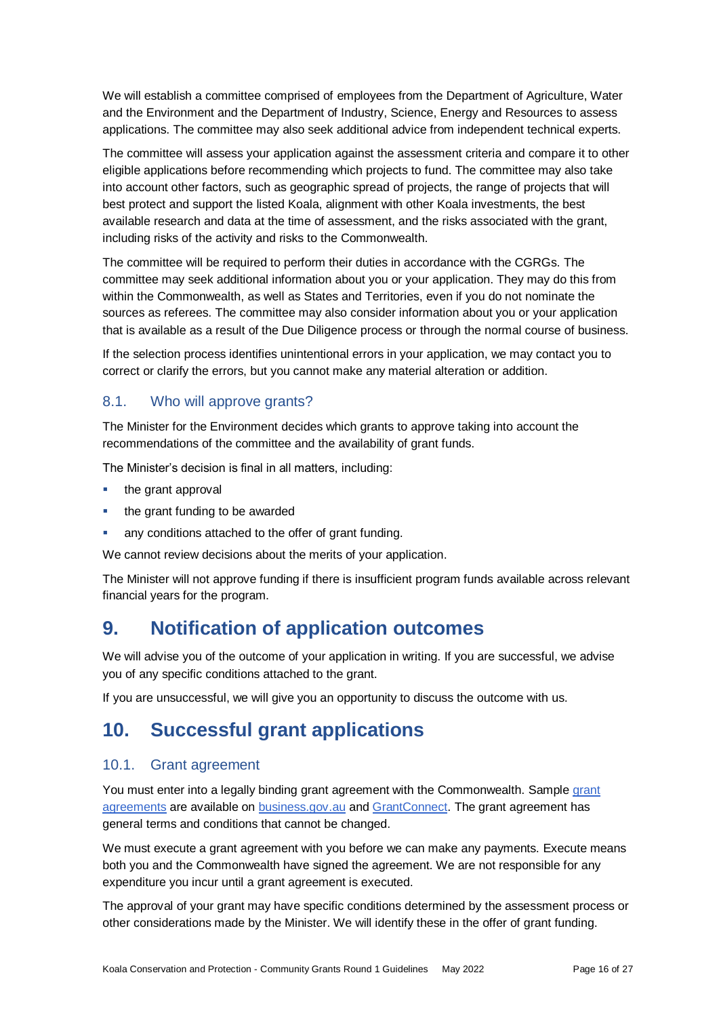We will establish a committee comprised of employees from the Department of Agriculture, Water and the Environment and the Department of Industry, Science, Energy and Resources to assess applications. The committee may also seek additional advice from independent technical experts.

The committee will assess your application against the assessment criteria and compare it to other eligible applications before recommending which projects to fund. The committee may also take into account other factors, such as geographic spread of projects, the range of projects that will best protect and support the listed Koala, alignment with other Koala investments, the best available research and data at the time of assessment, and the risks associated with the grant, including risks of the activity and risks to the Commonwealth.

The committee will be required to perform their duties in accordance with the CGRGs. The committee may seek additional information about you or your application. They may do this from within the Commonwealth, as well as States and Territories, even if you do not nominate the sources as referees. The committee may also consider information about you or your application that is available as a result of the Due Diligence process or through the normal course of business.

If the selection process identifies unintentional errors in your application, we may contact you to correct or clarify the errors, but you cannot make any material alteration or addition.

### 8.1. Who will approve grants?

The Minister for the Environment decides which grants to approve taking into account the recommendations of the committee and the availability of grant funds.

The Minister's decision is final in all matters, including:

- the grant approval
- the grant funding to be awarded
- any conditions attached to the offer of grant funding.

We cannot review decisions about the merits of your application.

The Minister will not approve funding if there is insufficient program funds available across relevant financial years for the program.

# **9. Notification of application outcomes**

We will advise you of the outcome of your application in writing. If you are successful, we advise you of any specific conditions attached to the grant.

If you are unsuccessful, we will give you an opportunity to discuss the outcome with us.

# **10. Successful grant applications**

### 10.1. Grant agreement

You must enter into a legally binding grant agreement with the Commonwealth. Sample [grant](https://business.gov.au/grants-and-programs/koala-conservation-and-protection-community-grants-round-1#key-documents)  [agreements](https://business.gov.au/grants-and-programs/koala-conservation-and-protection-community-grants-round-1#key-documents) are available on [business.gov.au](https://business.gov.au/grants-and-programs/koala-conservation-and-protection-community-grants-round-1#key-documents) and [GrantConnect.](https://www.grants.gov.au/) The grant agreement has general terms and conditions that cannot be changed.

We must execute a grant agreement with you before we can make any payments. Execute means both you and the Commonwealth have signed the agreement. We are not responsible for any expenditure you incur until a grant agreement is executed.

The approval of your grant may have specific conditions determined by the assessment process or other considerations made by the Minister. We will identify these in the offer of grant funding.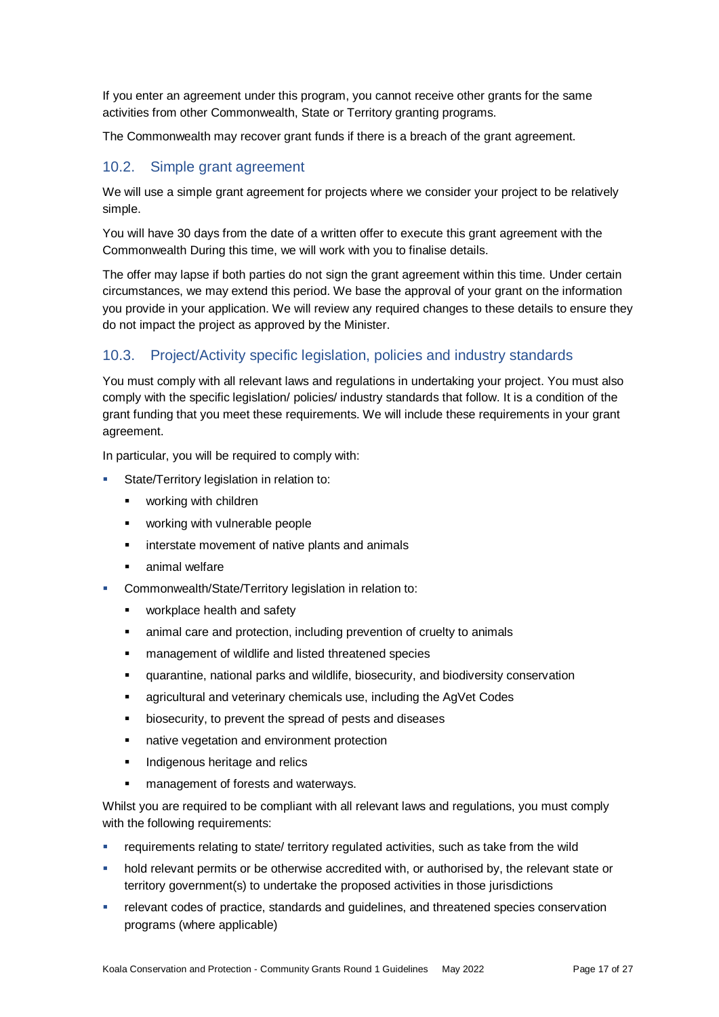If you enter an agreement under this program, you cannot receive other grants for the same activities from other Commonwealth, State or Territory granting programs.

The Commonwealth may recover grant funds if there is a breach of the grant agreement.

### 10.2. Simple grant agreement

We will use a simple grant agreement for projects where we consider your project to be relatively simple.

You will have 30 days from the date of a written offer to execute this grant agreement with the Commonwealth During this time, we will work with you to finalise details.

The offer may lapse if both parties do not sign the grant agreement within this time. Under certain circumstances, we may extend this period. We base the approval of your grant on the information you provide in your application. We will review any required changes to these details to ensure they do not impact the project as approved by the Minister.

### 10.3. Project/Activity specific legislation, policies and industry standards

You must comply with all relevant laws and regulations in undertaking your project. You must also comply with the specific legislation/ policies/ industry standards that follow. It is a condition of the grant funding that you meet these requirements. We will include these requirements in your grant agreement.

In particular, you will be required to comply with:

- State/Territory legislation in relation to:
	- **•** working with children
	- **•** working with vulnerable people
	- **EXEC** interstate movement of native plants and animals
	- **EXEC** animal welfare
- Commonwealth/State/Territory legislation in relation to:
	- **•** workplace health and safety
	- animal care and protection, including prevention of cruelty to animals
	- **EXEDENT** management of wildlife and listed threatened species
	- quarantine, national parks and wildlife, biosecurity, and biodiversity conservation
	- **EXEDENT** agricultural and veterinary chemicals use, including the AgVet Codes
	- **•** biosecurity, to prevent the spread of pests and diseases
	- **native vegetation and environment protection**
	- **Indigenous heritage and relics**
	- management of forests and waterways.

Whilst you are required to be compliant with all relevant laws and regulations, you must comply with the following requirements:

- requirements relating to state/ territory regulated activities, such as take from the wild
- hold relevant permits or be otherwise accredited with, or authorised by, the relevant state or territory government(s) to undertake the proposed activities in those jurisdictions
- relevant codes of practice, standards and guidelines, and threatened species conservation programs (where applicable)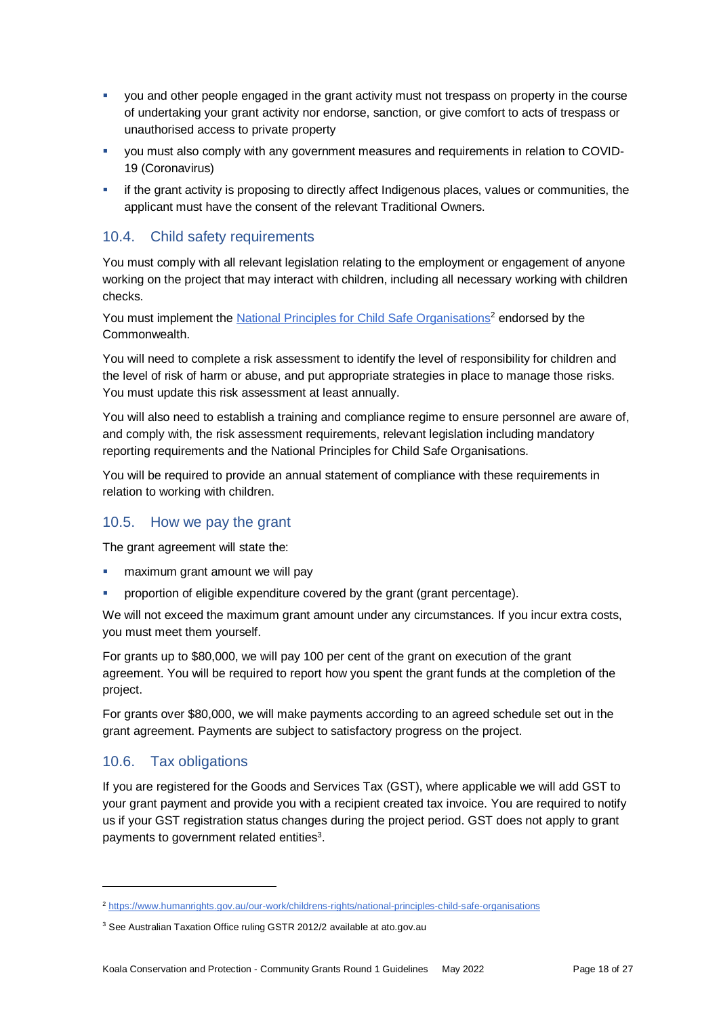- you and other people engaged in the grant activity must not trespass on property in the course of undertaking your grant activity nor endorse, sanction, or give comfort to acts of trespass or unauthorised access to private property
- you must also comply with any government measures and requirements in relation to COVID-19 (Coronavirus)
- if the grant activity is proposing to directly affect Indigenous places, values or communities, the applicant must have the consent of the relevant Traditional Owners.

# 10.4. Child safety requirements

You must comply with all relevant legislation relating to the employment or engagement of anyone working on the project that may interact with children, including all necessary working with children checks.

You must implement th[e National Principles for Child Safe Organisations](https://www.humanrights.gov.au/our-work/childrens-rights/national-principles-child-safe-organisations)<sup>2</sup> endorsed by the Commonwealth.

You will need to complete a risk assessment to identify the level of responsibility for children and the level of risk of harm or abuse, and put appropriate strategies in place to manage those risks. You must update this risk assessment at least annually.

You will also need to establish a training and compliance regime to ensure personnel are aware of, and comply with, the risk assessment requirements, relevant legislation including mandatory reporting requirements and the National Principles for Child Safe Organisations.

You will be required to provide an annual statement of compliance with these requirements in relation to working with children.

### 10.5. How we pay the grant

The grant agreement will state the:

- maximum grant amount we will pay
- proportion of eligible expenditure covered by the grant (grant percentage).

We will not exceed the maximum grant amount under any circumstances. If you incur extra costs, you must meet them yourself.

For grants up to \$80,000, we will pay 100 per cent of the grant on execution of the grant agreement. You will be required to report how you spent the grant funds at the completion of the project.

For grants over \$80,000, we will make payments according to an agreed schedule set out in the grant agreement. Payments are subject to satisfactory progress on the project.

# 10.6. Tax obligations

l

If you are registered for the Goods and Services Tax (GST), where applicable we will add GST to your grant payment and provide you with a recipient created tax invoice. You are required to notify us if your GST registration status changes during the project period. GST does not apply to grant payments to government related entities<sup>3</sup>.

<sup>2</sup> <https://www.humanrights.gov.au/our-work/childrens-rights/national-principles-child-safe-organisations>

<sup>&</sup>lt;sup>3</sup> See Australian Taxation Office ruling GSTR 2012/2 available at ato.gov.au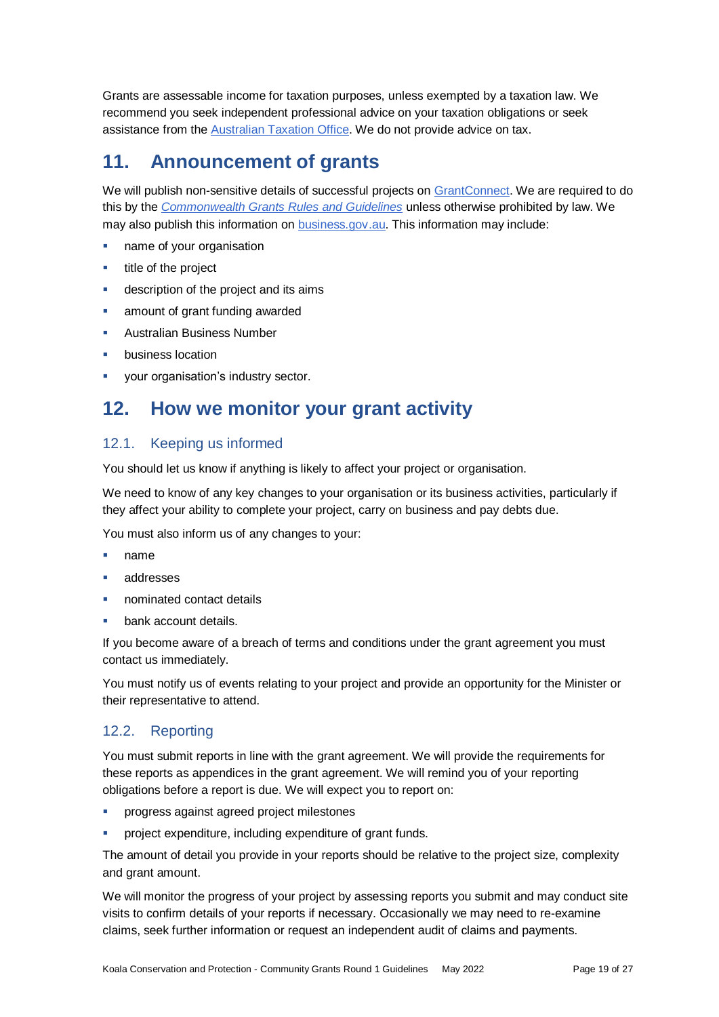Grants are assessable income for taxation purposes, unless exempted by a taxation law. We recommend you seek independent professional advice on your taxation obligations or seek assistance from the [Australian Taxation Office.](https://www.ato.gov.au/) We do not provide advice on tax.

# **11. Announcement of grants**

We will publish non-sensitive details of successful projects on [GrantConnect.](https://www.grants.gov.au/) We are required to do this by the *[Commonwealth Grants Rules and Guidelines](https://www.finance.gov.au/government/commonwealth-grants/commonwealth-grants-rules-guidelines)* unless otherwise prohibited by law. We may also publish this information on [business.gov.au.](https://business.gov.au/grants-and-programs/koala-conservation-and-protection-community-grants-round-1#key-documents) This information may include:

- name of your organisation
- $\blacksquare$  title of the project
- description of the project and its aims
- amount of grant funding awarded
- Australian Business Number
- business location
- your organisation's industry sector.

# **12. How we monitor your grant activity**

### 12.1. Keeping us informed

You should let us know if anything is likely to affect your project or organisation.

We need to know of any key changes to your organisation or its business activities, particularly if they affect your ability to complete your project, carry on business and pay debts due.

You must also inform us of any changes to your:

- name
- addresses
- nominated contact details
- bank account details.

If you become aware of a breach of terms and conditions under the grant agreement you must contact us immediately.

You must notify us of events relating to your project and provide an opportunity for the Minister or their representative to attend.

### 12.2. Reporting

You must submit reports in line with the [grant agreement.](file://///prod.protected.ind/User/user03/LLau2/insert%20link%20here) We will provide the requirements for these reports as appendices in the grant agreement. We will remind you of your reporting obligations before a report is due. We will expect you to report on:

- **PEDRITE:** progress against agreed project milestones
- project expenditure, including expenditure of grant funds.

The amount of detail you provide in your reports should be relative to the project size, complexity and grant amount.

We will monitor the progress of your project by assessing reports you submit and may conduct site visits to confirm details of your reports if necessary. Occasionally we may need to re-examine claims, seek further information or request an independent audit of claims and payments.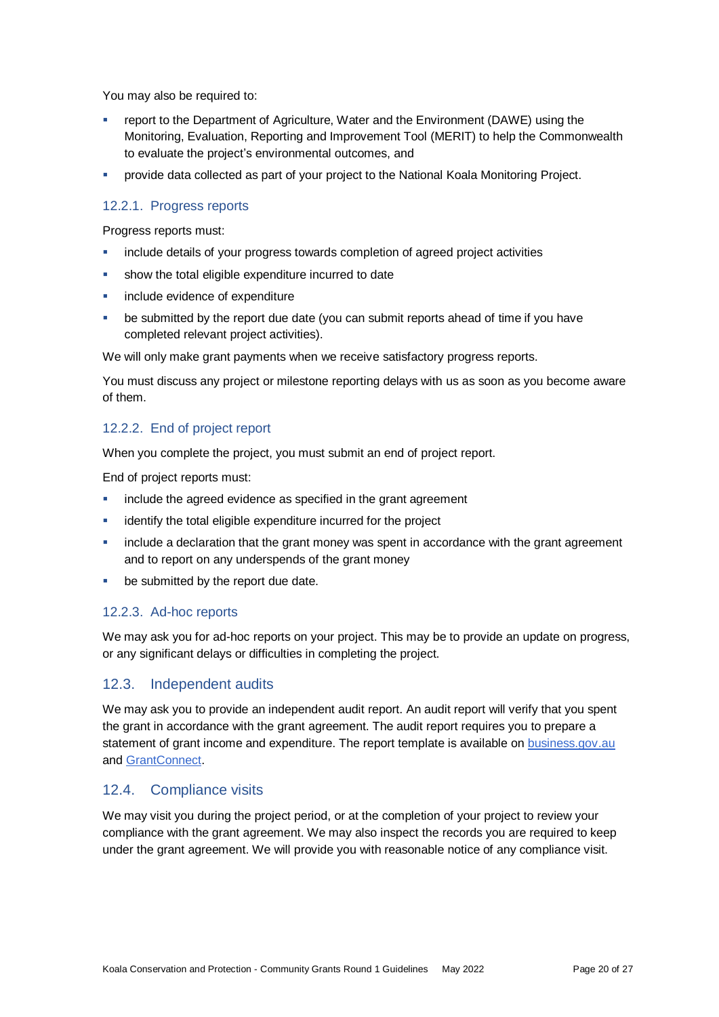You may also be required to:

- report to the Department of Agriculture, Water and the Environment (DAWE) using the Monitoring, Evaluation, Reporting and Improvement Tool (MERIT) to help the Commonwealth to evaluate the project's environmental outcomes, and
- provide data collected as part of your project to the National Koala Monitoring Project.

### 12.2.1. Progress reports

Progress reports must:

- include details of your progress towards completion of agreed project activities
- show the total eligible expenditure incurred to date
- include evidence of expenditure
- be submitted by the report due date (you can submit reports ahead of time if you have completed relevant project activities).

We will only make grant payments when we receive satisfactory progress reports.

You must discuss any project or milestone reporting delays with us as soon as you become aware of them.

### 12.2.2. End of project report

When you complete the project, you must submit an end of project report.

End of project reports must:

- **EXECT** include the agreed evidence as specified in the grant agreement
- identify the total eligible expenditure incurred for the project
- include a declaration that the grant money was spent in accordance with the grant agreement and to report on any underspends of the grant money
- be submitted by the report due date.

#### 12.2.3. Ad-hoc reports

We may ask you for ad-hoc reports on your project. This may be to provide an update on progress, or any significant delays or difficulties in completing the project.

### 12.3. Independent audits

We may ask you to provide an independent audit report. An audit report will verify that you spent the grant in accordance with the grant agreement. The audit report requires you to prepare a statement of grant income and expenditure. The report template is available on [business.gov.au](https://business.gov.au/grants-and-programs/koala-conservation-and-protection-community-grants-round-1#key-documents) and [GrantConnect.](https://www.grants.gov.au/)

#### 12.4. Compliance visits

We may visit you during the project period, or at the completion of your project to review your compliance with the grant agreement. We may also inspect the records you are required to keep under the grant agreement. We will provide you with reasonable notice of any compliance visit.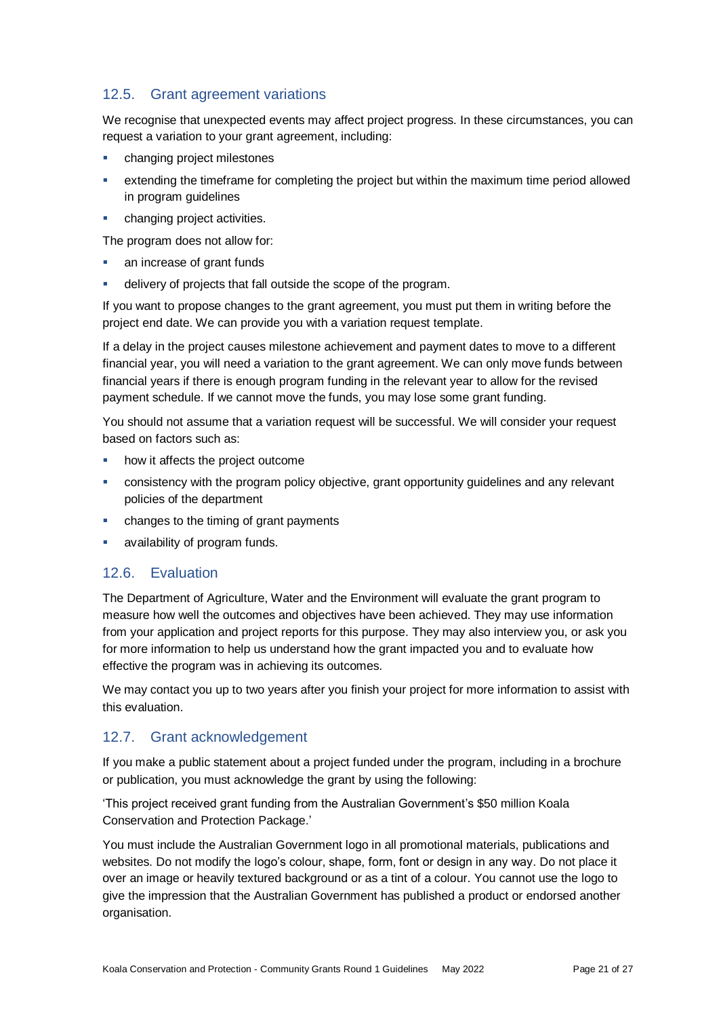# 12.5. Grant agreement variations

We recognise that unexpected events may affect project progress. In these circumstances, you can request a variation to your grant agreement, including:

- changing project milestones
- extending the timeframe for completing the project but within the maximum time period allowed in program guidelines
- changing project activities.

The program does not allow for:

- an increase of grant funds
- delivery of projects that fall outside the scope of the program.

If you want to propose changes to the grant agreement, you must put them in writing before the project end date. We can provide you with a variation request template.

If a delay in the project causes milestone achievement and payment dates to move to a different financial year, you will need a variation to the grant agreement. We can only move funds between financial years if there is enough program funding in the relevant year to allow for the revised payment schedule. If we cannot move the funds, you may lose some grant funding.

You should not assume that a variation request will be successful. We will consider your request based on factors such as:

- how it affects the project outcome
- consistency with the program policy objective, grant opportunity guidelines and any relevant policies of the department
- **EXED:** changes to the timing of grant payments
- availability of program funds.

### 12.6. Evaluation

The Department of Agriculture, Water and the Environment will evaluate the grant program to measure how well the outcomes and objectives have been achieved. They may use information from your application and project reports for this purpose. They may also interview you, or ask you for more information to help us understand how the grant impacted you and to evaluate how effective the program was in achieving its outcomes.

We may contact you up to two years after you finish your project for more information to assist with this evaluation.

# 12.7. Grant acknowledgement

If you make a public statement about a project funded under the program, including in a brochure or publication, you must acknowledge the grant by using the following:

'This project received grant funding from the Australian Government's \$50 million Koala Conservation and Protection Package.'

You must include the Australian Government logo in all promotional materials, publications and websites. Do not modify the logo's colour, shape, form, font or design in any way. Do not place it over an image or heavily textured background or as a tint of a colour. You cannot use the logo to give the impression that the Australian Government has published a product or endorsed another organisation.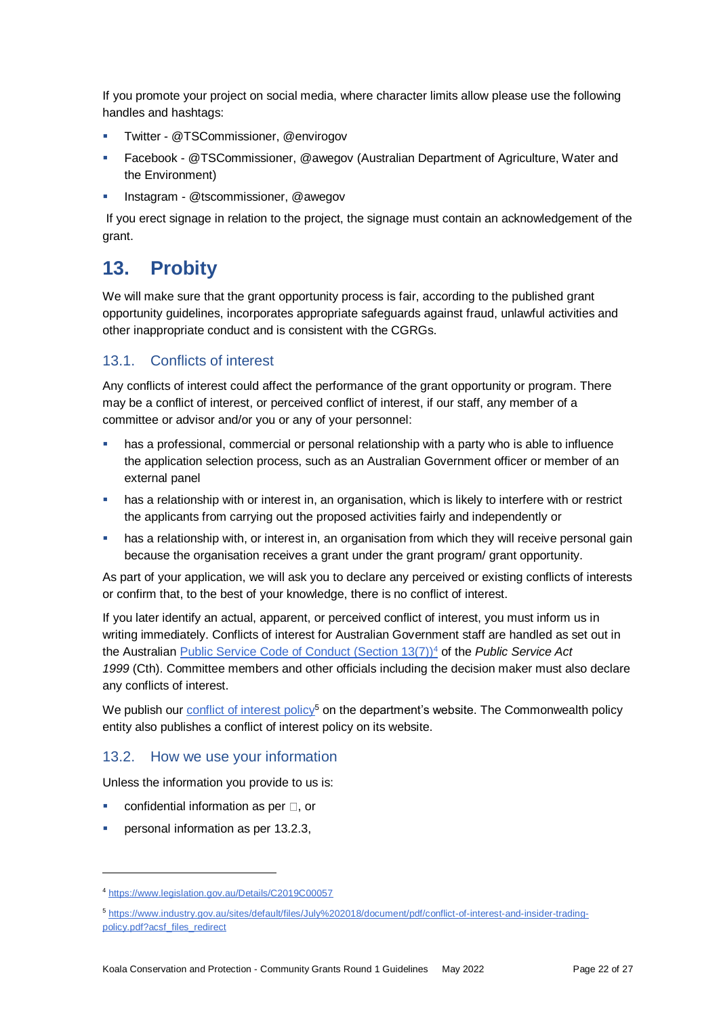If you promote your project on social media, where character limits allow please use the following handles and hashtags:

- **Twitter @TSCommissioner, @envirogov**
- Facebook @TSCommissioner, @awegov (Australian Department of Agriculture, Water and the Environment)
- Instagram @tscommissioner, @awegov

If you erect signage in relation to the project, the signage must contain an acknowledgement of the grant.

# **13. Probity**

We will make sure that the grant opportunity process is fair, according to the published grant opportunity guidelines, incorporates appropriate safeguards against fraud, unlawful activities and other inappropriate conduct and is consistent with the CGRGs.

# 13.1. Conflicts of interest

Any conflicts of interest could affect the performance of the grant opportunity or program. There may be a [conflict of interest,](http://www.apsc.gov.au/publications-and-media/current-publications/aps-values-and-code-of-conduct-in-practice/conflict-of-interest) or perceived conflict of interest, if our staff, any member of a committee or advisor and/or you or any of your personnel:

- has a professional, commercial or personal relationship with a party who is able to influence the application selection process, such as an Australian Government officer or member of an external panel
- **has a relationship with or interest in, an organisation, which is likely to interfere with or restrict** the applicants from carrying out the proposed activities fairly and independently or
- **•** has a relationship with, or interest in, an organisation from which they will receive personal gain because the organisation receives a grant under the grant program/ grant opportunity.

As part of your application, we will ask you to declare any perceived or existing conflicts of interests or confirm that, to the best of your knowledge, there is no conflict of interest.

If you later identify an actual, apparent, or perceived conflict of interest, you must inform us in writing immediately. Conflicts of interest for Australian Government staff are handled as set out in the Australian [Public Service Code of Conduct \(Section 13\(7\)\)](https://www.legislation.gov.au/Details/C2019C00057)<sup>4</sup> of the *Public Service Act 1999* (Cth). Committee members and other officials including the decision maker must also declare any conflicts of interest.

We publish our [conflict of interest policy](https://www.industry.gov.au/sites/g/files/net3906/f/July%202018/document/pdf/conflict-of-interest-and-insider-trading-policy.pdf)<sup>5</sup> on the department's website. The Commonwealth policy entity also publishes a conflict of interest policy on its website.

### 13.2. How we use your information

Unless the information you provide to us is:

- confidential information as per  $\Box$ . or
- personal information as per [13.2.3,](#page-22-1)

l

<sup>4</sup> https://www.legislation.gov.au/Details/C2019C00057

<sup>5</sup> [https://www.industry.gov.au/sites/default/files/July%202018/document/pdf/conflict-of-interest-and-insider-trading](https://www.industry.gov.au/sites/default/files/July%202018/document/pdf/conflict-of-interest-and-insider-trading-policy.pdf?acsf_files_redirect)[policy.pdf?acsf\\_files\\_redirect](https://www.industry.gov.au/sites/default/files/July%202018/document/pdf/conflict-of-interest-and-insider-trading-policy.pdf?acsf_files_redirect)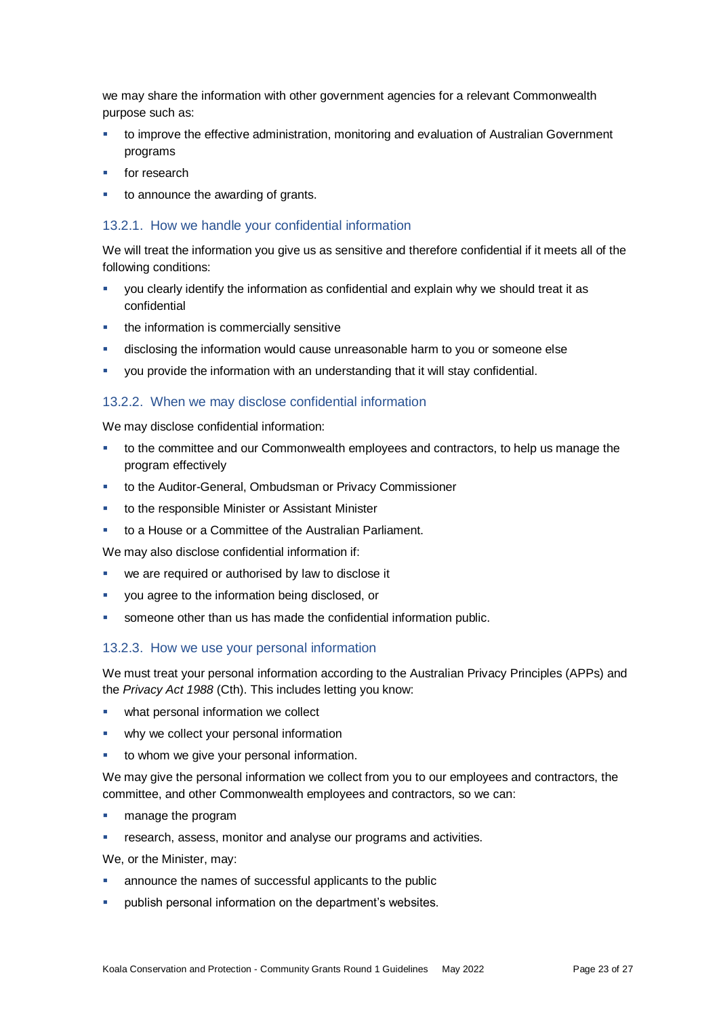we may share the information with other government agencies for a relevant Commonwealth purpose such as:

- to improve the effective administration, monitoring and evaluation of Australian Government programs
- for research
- <span id="page-22-0"></span>to announce the awarding of grants.

#### 13.2.1. How we handle your confidential information

We will treat the information you give us as sensitive and therefore confidential if it meets all of the following conditions:

- you clearly identify the information as confidential and explain why we should treat it as confidential
- the information is commercially sensitive
- disclosing the information would cause unreasonable harm to you or someone else
- you provide the information with an understanding that it will stay confidential.

#### 13.2.2. When we may disclose confidential information

We may disclose confidential information:

- to the committee and our Commonwealth employees and contractors, to help us manage the program effectively
- to the Auditor-General, Ombudsman or Privacy Commissioner
- to the responsible Minister or Assistant Minister
- to a House or a Committee of the Australian Parliament.

We may also disclose confidential information if:

- **we are required or authorised by law to disclose it**
- you agree to the information being disclosed, or
- <span id="page-22-1"></span>someone other than us has made the confidential information public.

#### 13.2.3. How we use your personal information

We must treat your personal information according to the Australian Privacy Principles (APPs) and the *Privacy Act 1988* (Cth). This includes letting you know:

- what personal information we collect
- **•** why we collect your personal information
- to whom we give your personal information.

We may give the personal information we collect from you to our employees and contractors, the committee, and other Commonwealth employees and contractors, so we can:

- **manage the program**
- research, assess, monitor and analyse our programs and activities.

We, or the Minister, may:

- announce the names of successful applicants to the public
- publish personal information on the department's websites.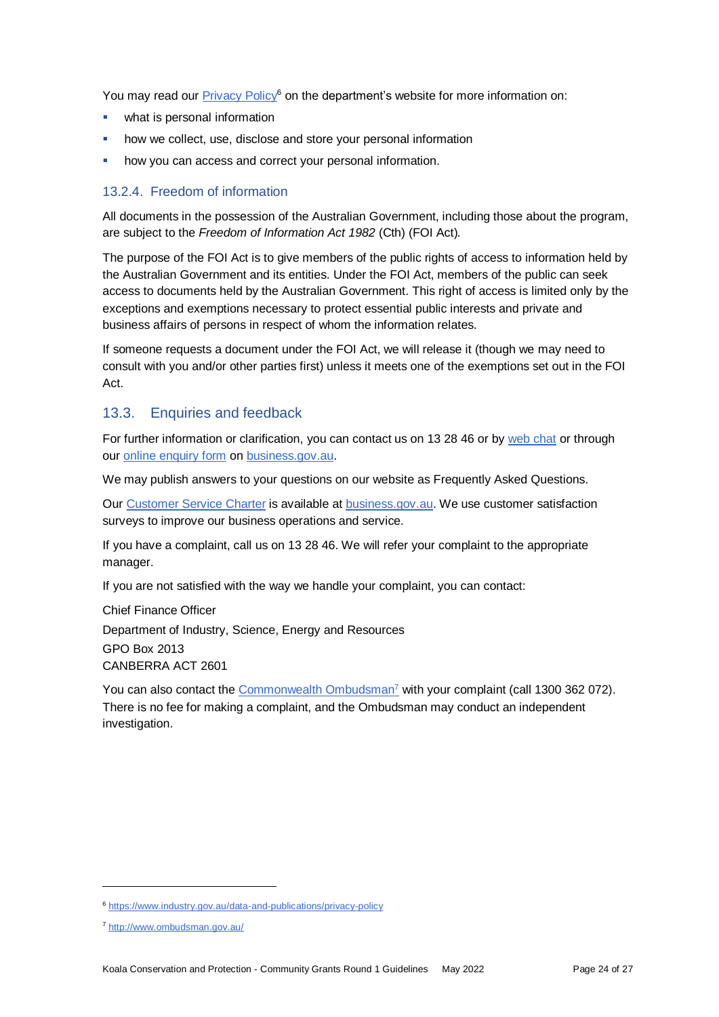You may read our [Privacy Policy](https://www.industry.gov.au/data-and-publications/privacy-policy)<sup>6</sup> on the department's website for more information on:

- what is personal information
- how we collect, use, disclose and store your personal information
- how you can access and correct your personal information.

#### 13.2.4. Freedom of information

All documents in the possession of the Australian Government, including those about the program, are subject to the *Freedom of Information Act 1982* (Cth) (FOI Act)*.*

The purpose of the FOI Act is to give members of the public rights of access to information held by the Australian Government and its entities. Under the FOI Act, members of the public can seek access to documents held by the Australian Government. This right of access is limited only by the exceptions and exemptions necessary to protect essential public interests and private and business affairs of persons in respect of whom the information relates.

If someone requests a document under the FOI Act, we will release it (though we may need to consult with you and/or other parties first) unless it meets one of the exemptions set out in the FOI Act.

### 13.3. Enquiries and feedback

For further information or clarification, you can contact us on 13 28 46 or by [web chat](https://www.business.gov.au/contact-us) or through our [online enquiry form](http://www.business.gov.au/contact-us/Pages/default.aspx) on [business.gov.au.](https://business.gov.au/grants-and-programs/koala-conservation-and-protection-community-grants-round-1#key-documents)

We may publish answers to your questions on our website as Frequently Asked Questions.

Our [Customer Service Charter](https://www.business.gov.au/about/customer-service-charter) is available at [business.gov.au.](https://business.gov.au/grants-and-programs/koala-conservation-and-protection-community-grants-round-1#key-documents) We use customer satisfaction surveys to improve our business operations and service.

If you have a complaint, call us on 13 28 46. We will refer your complaint to the appropriate manager.

If you are not satisfied with the way we handle your complaint, you can contact:

Chief Finance Officer Department of Industry, Science, Energy and Resources GPO Box 2013 CANBERRA ACT 2601

You can also contact the [Commonwealth Ombudsman](http://www.ombudsman.gov.au/)<sup>7</sup> with your complaint (call 1300 362 072). There is no fee for making a complaint, and the Ombudsman may conduct an independent investigation.

l

<sup>6</sup> <https://www.industry.gov.au/data-and-publications/privacy-policy>

<sup>7</sup> <http://www.ombudsman.gov.au/>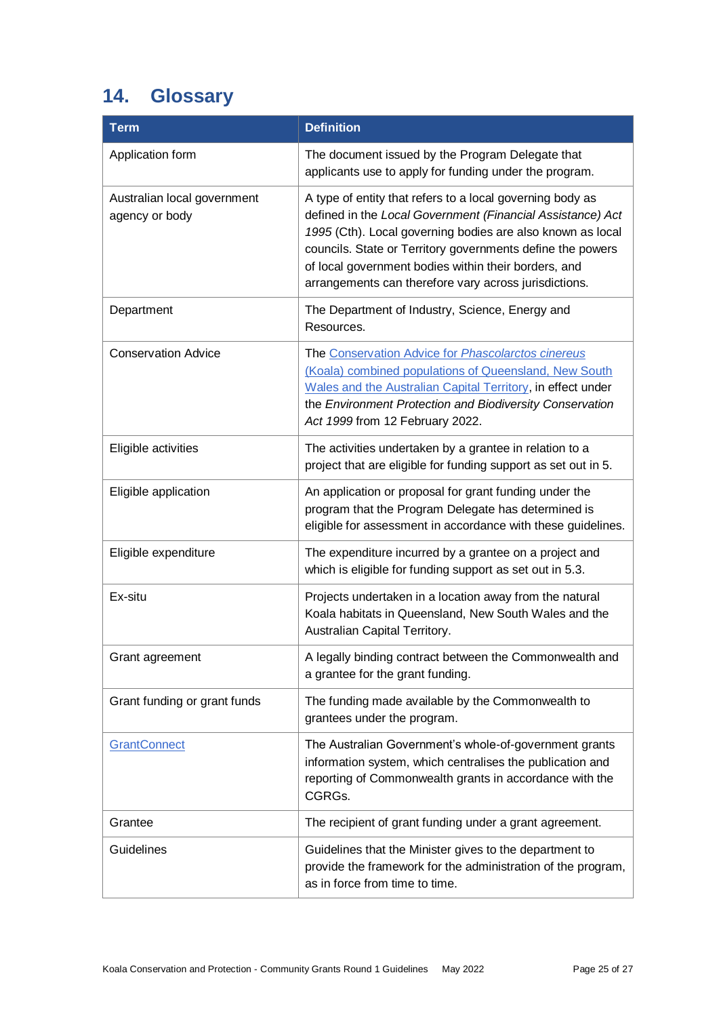# <span id="page-24-0"></span>**14. Glossary**

| <b>Term</b>                                   | <b>Definition</b>                                                                                                                                                                                                                                                                                                                                                    |
|-----------------------------------------------|----------------------------------------------------------------------------------------------------------------------------------------------------------------------------------------------------------------------------------------------------------------------------------------------------------------------------------------------------------------------|
| Application form                              | The document issued by the Program Delegate that<br>applicants use to apply for funding under the program.                                                                                                                                                                                                                                                           |
| Australian local government<br>agency or body | A type of entity that refers to a local governing body as<br>defined in the Local Government (Financial Assistance) Act<br>1995 (Cth). Local governing bodies are also known as local<br>councils. State or Territory governments define the powers<br>of local government bodies within their borders, and<br>arrangements can therefore vary across jurisdictions. |
| Department                                    | The Department of Industry, Science, Energy and<br>Resources.                                                                                                                                                                                                                                                                                                        |
| <b>Conservation Advice</b>                    | The Conservation Advice for Phascolarctos cinereus<br>(Koala) combined populations of Queensland, New South<br>Wales and the Australian Capital Territory, in effect under<br>the Environment Protection and Biodiversity Conservation<br>Act 1999 from 12 February 2022.                                                                                            |
| Eligible activities                           | The activities undertaken by a grantee in relation to a<br>project that are eligible for funding support as set out in 5.                                                                                                                                                                                                                                            |
| Eligible application                          | An application or proposal for grant funding under the<br>program that the Program Delegate has determined is<br>eligible for assessment in accordance with these guidelines.                                                                                                                                                                                        |
| Eligible expenditure                          | The expenditure incurred by a grantee on a project and<br>which is eligible for funding support as set out in 5.3.                                                                                                                                                                                                                                                   |
| Ex-situ                                       | Projects undertaken in a location away from the natural<br>Koala habitats in Queensland, New South Wales and the<br>Australian Capital Territory.                                                                                                                                                                                                                    |
| Grant agreement                               | A legally binding contract between the Commonwealth and<br>a grantee for the grant funding.                                                                                                                                                                                                                                                                          |
| Grant funding or grant funds                  | The funding made available by the Commonwealth to<br>grantees under the program.                                                                                                                                                                                                                                                                                     |
| <b>GrantConnect</b>                           | The Australian Government's whole-of-government grants<br>information system, which centralises the publication and<br>reporting of Commonwealth grants in accordance with the<br>CGRGs.                                                                                                                                                                             |
| Grantee                                       | The recipient of grant funding under a grant agreement.                                                                                                                                                                                                                                                                                                              |
| <b>Guidelines</b>                             | Guidelines that the Minister gives to the department to<br>provide the framework for the administration of the program,<br>as in force from time to time.                                                                                                                                                                                                            |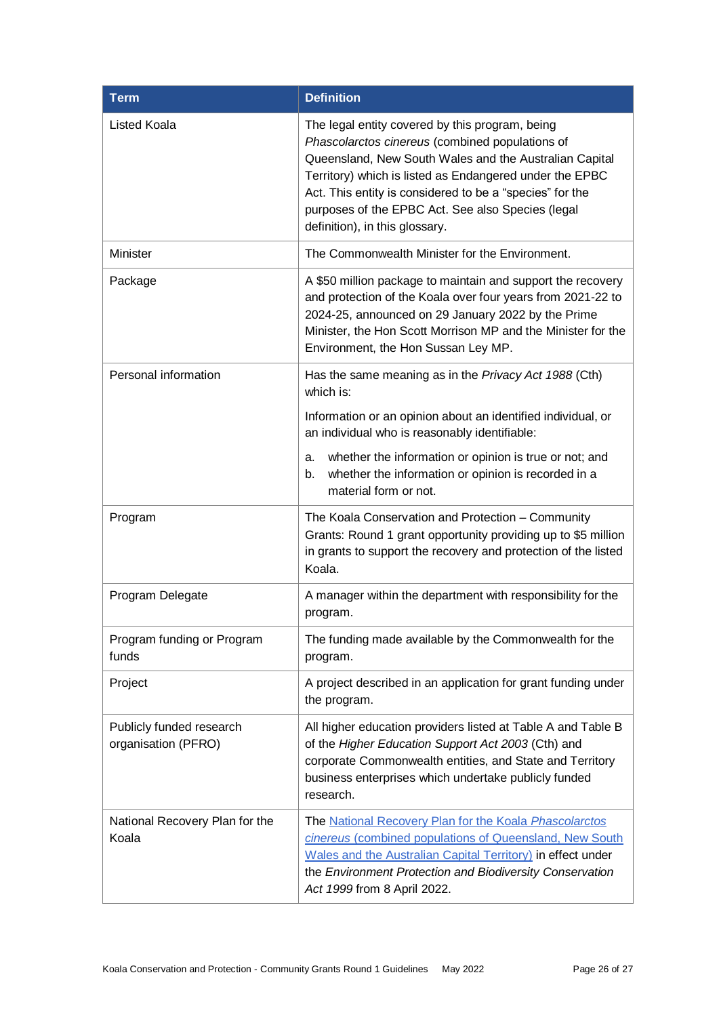| <b>Term</b>                                     | <b>Definition</b>                                                                                                                                                                                                                                                                                                                                                          |
|-------------------------------------------------|----------------------------------------------------------------------------------------------------------------------------------------------------------------------------------------------------------------------------------------------------------------------------------------------------------------------------------------------------------------------------|
| Listed Koala                                    | The legal entity covered by this program, being<br>Phascolarctos cinereus (combined populations of<br>Queensland, New South Wales and the Australian Capital<br>Territory) which is listed as Endangered under the EPBC<br>Act. This entity is considered to be a "species" for the<br>purposes of the EPBC Act. See also Species (legal<br>definition), in this glossary. |
| Minister                                        | The Commonwealth Minister for the Environment.                                                                                                                                                                                                                                                                                                                             |
| Package                                         | A \$50 million package to maintain and support the recovery<br>and protection of the Koala over four years from 2021-22 to<br>2024-25, announced on 29 January 2022 by the Prime<br>Minister, the Hon Scott Morrison MP and the Minister for the<br>Environment, the Hon Sussan Ley MP.                                                                                    |
| Personal information                            | Has the same meaning as in the Privacy Act 1988 (Cth)<br>which is:                                                                                                                                                                                                                                                                                                         |
|                                                 | Information or an opinion about an identified individual, or<br>an individual who is reasonably identifiable:                                                                                                                                                                                                                                                              |
|                                                 | whether the information or opinion is true or not; and<br>a.<br>whether the information or opinion is recorded in a<br>b.<br>material form or not.                                                                                                                                                                                                                         |
| Program                                         | The Koala Conservation and Protection - Community<br>Grants: Round 1 grant opportunity providing up to \$5 million<br>in grants to support the recovery and protection of the listed<br>Koala.                                                                                                                                                                             |
| Program Delegate                                | A manager within the department with responsibility for the<br>program.                                                                                                                                                                                                                                                                                                    |
| Program funding or Program<br>funds             | The funding made available by the Commonwealth for the<br>program.                                                                                                                                                                                                                                                                                                         |
| Project                                         | A project described in an application for grant funding under<br>the program.                                                                                                                                                                                                                                                                                              |
| Publicly funded research<br>organisation (PFRO) | All higher education providers listed at Table A and Table B<br>of the Higher Education Support Act 2003 (Cth) and<br>corporate Commonwealth entities, and State and Territory<br>business enterprises which undertake publicly funded<br>research.                                                                                                                        |
| National Recovery Plan for the<br>Koala         | The National Recovery Plan for the Koala Phascolarctos<br>cinereus (combined populations of Queensland, New South<br>Wales and the Australian Capital Territory) in effect under<br>the Environment Protection and Biodiversity Conservation<br>Act 1999 from 8 April 2022.                                                                                                |